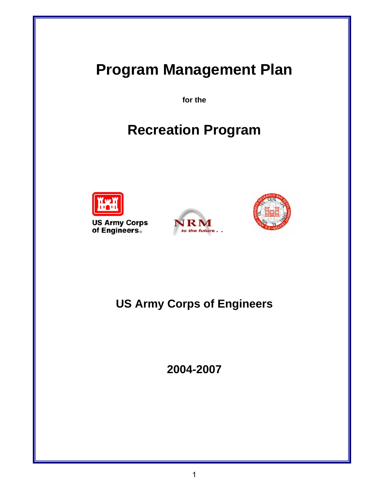# **Program Management Plan**

**for the** 

# **Recreation Program**



**US Army Corps<br>of Engineers**。





## **US Army Corps of Engineers**

**2004-2007**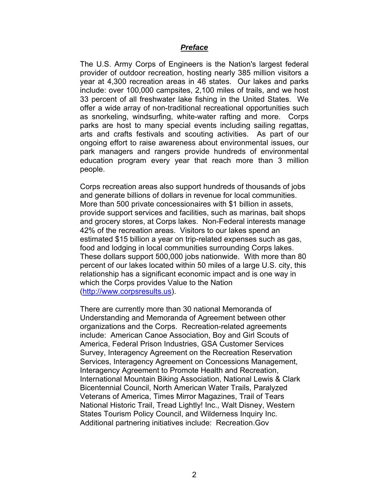#### *Preface*

The U.S. Army Corps of Engineers is the Nation's largest federal provider of outdoor recreation, hosting nearly 385 million visitors a year at 4,300 recreation areas in 46 states. Our lakes and parks include: over 100,000 campsites, 2,100 miles of trails, and we host 33 percent of all freshwater lake fishing in the United States. We offer a wide array of non-traditional recreational opportunities such as snorkeling, windsurfing, white-water rafting and more. Corps parks are host to many special events including sailing regattas, arts and crafts festivals and scouting activities. As part of our ongoing effort to raise awareness about environmental issues, our park managers and rangers provide hundreds of environmental education program every year that reach more than 3 million people.

Corps recreation areas also support hundreds of thousands of jobs and generate billions of dollars in revenue for local communities. More than 500 private concessionaires with \$1 billion in assets, provide support services and facilities, such as marinas, bait shops and grocery stores, at Corps lakes. Non-Federal interests manage 42% of the recreation areas. Visitors to our lakes spend an estimated \$15 billion a year on trip-related expenses such as gas, food and lodging in local communities surrounding Corps lakes. These dollars support 500,000 jobs nationwide. With more than 80 percent of our lakes located within 50 miles of a large U.S. city, this relationship has a significant economic impact and is one way in which the Corps provides Value to the Nation (http://www.corpsresults.us).

There are currently more than 30 national Memoranda of Understanding and Memoranda of Agreement between other organizations and the Corps. Recreation-related agreements include: American Canoe Association, Boy and Girl Scouts of America, Federal Prison Industries, GSA Customer Services Survey, Interagency Agreement on the Recreation Reservation Services, Interagency Agreement on Concessions Management, Interagency Agreement to Promote Health and Recreation, International Mountain Biking Association, National Lewis & Clark Bicentennial Council, North American Water Trails, Paralyzed Veterans of America, Times Mirror Magazines, Trail of Tears National Historic Trail, Tread Lightly! Inc., Walt Disney, Western States Tourism Policy Council, and Wilderness Inquiry Inc. Additional partnering initiatives include: Recreation.Gov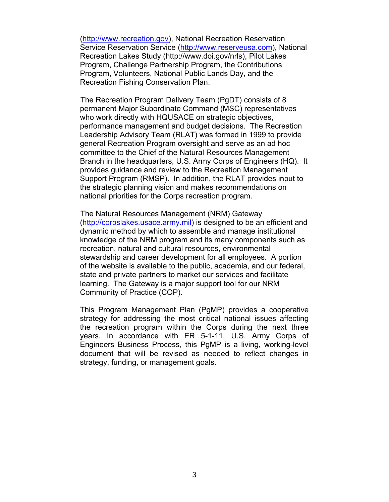(http://www.recreation.gov), National Recreation Reservation Service Reservation Service (http://www.reserveusa.com), National Recreation Lakes Study (http://www.doi.gov/nrls), Pilot Lakes Program, Challenge Partnership Program, the Contributions Program, Volunteers, National Public Lands Day, and the Recreation Fishing Conservation Plan.

 The Recreation Program Delivery Team (PgDT) consists of 8 permanent Major Subordinate Command (MSC) representatives who work directly with HQUSACE on strategic objectives, performance management and budget decisions. The Recreation Leadership Advisory Team (RLAT) was formed in 1999 to provide general Recreation Program oversight and serve as an ad hoc committee to the Chief of the Natural Resources Management Branch in the headquarters, U.S. Army Corps of Engineers (HQ). It provides guidance and review to the Recreation Management Support Program (RMSP). In addition, the RLAT provides input to the strategic planning vision and makes recommendations on national priorities for the Corps recreation program.

 The Natural Resources Management (NRM) Gateway (http://corpslakes.usace.army.mil) is designed to be an efficient and dynamic method by which to assemble and manage institutional knowledge of the NRM program and its many components such as recreation, natural and cultural resources, environmental stewardship and career development for all employees. A portion of the website is available to the public, academia, and our federal, state and private partners to market our services and facilitate learning. The Gateway is a major support tool for our NRM Community of Practice (COP).

This Program Management Plan (PgMP) provides a cooperative strategy for addressing the most critical national issues affecting the recreation program within the Corps during the next three years. In accordance with ER 5-1-11, U.S. Army Corps of Engineers Business Process, this PgMP is a living, working-level document that will be revised as needed to reflect changes in strategy, funding, or management goals.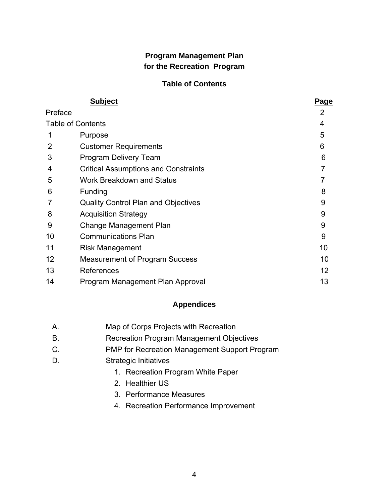### **Program Management Plan for the Recreation Program**

### **Table of Contents**

| <b>Subject</b>    |                                             | <u>Page</u> |  |
|-------------------|---------------------------------------------|-------------|--|
| Preface           |                                             | 2           |  |
|                   | <b>Table of Contents</b>                    | 4           |  |
| 1                 | Purpose                                     | 5           |  |
| 2                 | <b>Customer Requirements</b>                | 6           |  |
| 3                 | Program Delivery Team                       | 6           |  |
| 4                 | <b>Critical Assumptions and Constraints</b> |             |  |
| 5                 | <b>Work Breakdown and Status</b>            |             |  |
| 6                 | Funding                                     | 8           |  |
|                   | <b>Quality Control Plan and Objectives</b>  | 9           |  |
| 8                 | <b>Acquisition Strategy</b>                 | 9           |  |
| 9                 | Change Management Plan                      | 9           |  |
| 10                | <b>Communications Plan</b>                  | 9           |  |
| 11                | Risk Management                             | 10          |  |
| $12 \overline{ }$ | <b>Measurement of Program Success</b>       | 10          |  |
| 13                | References                                  | 12          |  |
| 14                | Program Management Plan Approval            | 13          |  |
|                   |                                             |             |  |

### **Appendices**

| A. | Map of Corps Projects with Recreation |
|----|---------------------------------------|
|----|---------------------------------------|

- B. Recreation Program Management Objectives
- C. PMP for Recreation Management Support Program
- D. Strategic Initiatives
	- 1. Recreation Program White Paper
	- 2. Healthier US
	- 3. Performance Measures
	- 4. Recreation Performance Improvement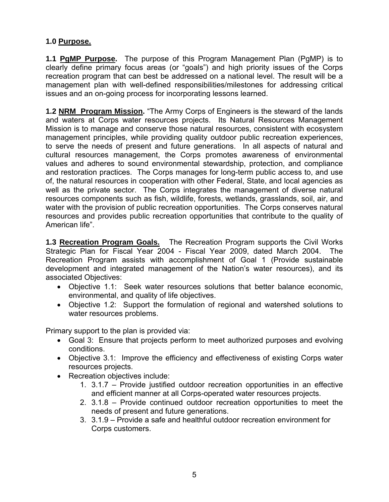### **1.0 Purpose.**

**1.1 PgMP Purpose.** The purpose of this Program Management Plan (PgMP) is to clearly define primary focus areas (or "goals") and high priority issues of the Corps recreation program that can best be addressed on a national level. The result will be a management plan with well-defined responsibilities/milestones for addressing critical issues and an on-going process for incorporating lessons learned.

**1.2 NRM Program Mission.** "The Army Corps of Engineers is the steward of the lands and waters at Corps water resources projects. Its Natural Resources Management Mission is to manage and conserve those natural resources, consistent with ecosystem management principles, while providing quality outdoor public recreation experiences, to serve the needs of present and future generations. In all aspects of natural and cultural resources management, the Corps promotes awareness of environmental values and adheres to sound environmental stewardship, protection, and compliance and restoration practices. The Corps manages for long-term public access to, and use of, the natural resources in cooperation with other Federal, State, and local agencies as well as the private sector. The Corps integrates the management of diverse natural resources components such as fish, wildlife, forests, wetlands, grasslands, soil, air, and water with the provision of public recreation opportunities. The Corps conserves natural resources and provides public recreation opportunities that contribute to the quality of American life".

**1.3 Recreation Program Goals.** The Recreation Program supports the Civil Works Strategic Plan for Fiscal Year 2004 - Fiscal Year 2009, dated March 2004. The Recreation Program assists with accomplishment of Goal 1 (Provide sustainable development and integrated management of the Nation's water resources), and its associated Objectives:

- Objective 1.1: Seek water resources solutions that better balance economic, environmental, and quality of life objectives.
- Objective 1.2: Support the formulation of regional and watershed solutions to water resources problems.

Primary support to the plan is provided via:

- Goal 3: Ensure that projects perform to meet authorized purposes and evolving conditions.
- Objective 3.1: Improve the efficiency and effectiveness of existing Corps water resources projects.
- Recreation objectives include:
	- 1. 3.1.7 Provide justified outdoor recreation opportunities in an effective and efficient manner at all Corps-operated water resources projects.
	- 2. 3.1.8 Provide continued outdoor recreation opportunities to meet the needs of present and future generations.
	- 3. 3.1.9 Provide a safe and healthful outdoor recreation environment for Corps customers.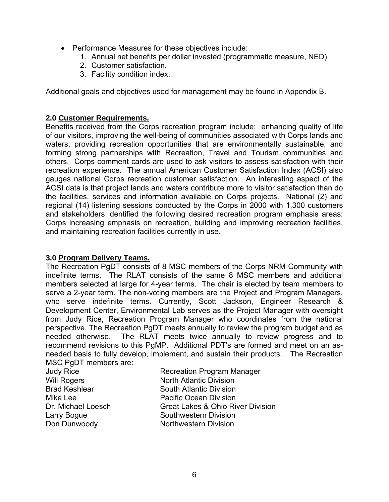- Performance Measures for these objectives include:
	- 1. Annual net benefits per dollar invested (programmatic measure, NED).
	- 2. Customer satisfaction.
	- 3. Facility condition index.

Additional goals and objectives used for management may be found in Appendix B.

### **2.0 Customer Requirements.**

Benefits received from the Corps recreation program include: enhancing quality of life of our visitors, improving the well-being of communities associated with Corps lands and waters, providing recreation opportunities that are environmentally sustainable, and forming strong partnerships with Recreation, Travel and Tourism communities and others. Corps comment cards are used to ask visitors to assess satisfaction with their recreation experience. The annual American Customer Satisfaction Index (ACSI) also gauges national Corps recreation customer satisfaction. An interesting aspect of the ACSI data is that project lands and waters contribute more to visitor satisfaction than do the facilities, services and information available on Corps projects. National (2) and regional (14) listening sessions conducted by the Corps in 2000 with 1,300 customers and stakeholders identified the following desired recreation program emphasis areas: Corps increasing emphasis on recreation, building and improving recreation facilities, and maintaining recreation facilities currently in use.

### **3.0 Program Delivery Teams.**

The Recreation PgDT consists of 8 MSC members of the Corps NRM Community with indefinite terms. The RLAT consists of the same 8 MSC members and additional members selected at large for 4-year terms. The chair is elected by team members to serve a 2-year term. The non-voting members are the Project and Program Managers, who serve indefinite terms. Currently, Scott Jackson, Engineer Research & Development Center, Environmental Lab serves as the Project Manager with oversight from Judy Rice, Recreation Program Manager who coordinates from the national perspective. The Recreation PgDT meets annually to review the program budget and as needed otherwise. The RLAT meets twice annually to review progress and to recommend revisions to this PgMP. Additional PDT's are formed and meet on an asneeded basis to fully develop, implement, and sustain their products. The Recreation MSC PaDT members are:

| Judy Rice            | <b>Recreation Program Manager</b>            |
|----------------------|----------------------------------------------|
| Will Rogers          | <b>North Atlantic Division</b>               |
| <b>Brad Keshlear</b> | <b>South Atlantic Division</b>               |
| Mike Lee             | <b>Pacific Ocean Division</b>                |
| Dr. Michael Loesch   | <b>Great Lakes &amp; Ohio River Division</b> |
| Larry Bogue          | Southwestern Division                        |
| Don Dunwoody         | <b>Northwestern Division</b>                 |
|                      |                                              |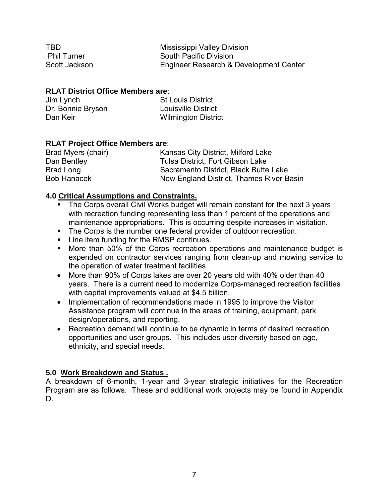| TBD.               | Mississippi Valley Division            |
|--------------------|----------------------------------------|
| <b>Phil Turner</b> | <b>South Pacific Division</b>          |
| Scott Jackson      | Engineer Research & Development Center |

### **RLAT District Office Members are**:

| Jim Lynch         | <b>St Louis District</b>   |
|-------------------|----------------------------|
| Dr. Bonnie Bryson | <b>Louisville District</b> |
| Dan Keir          | <b>Wilmington District</b> |

### **RLAT Project Office Members are**:

| Brad Myers (chair) | Kansas City District, Milford Lake       |
|--------------------|------------------------------------------|
| Dan Bentley        | Tulsa District, Fort Gibson Lake         |
| Brad Long          | Sacramento District, Black Butte Lake    |
| <b>Bob Hanacek</b> | New England District, Thames River Basin |

### **4.0 Critical Assumptions and Constraints.**

- The Corps overall Civil Works budget will remain constant for the next 3 years with recreation funding representing less than 1 percent of the operations and maintenance appropriations. This is occurring despite increases in visitation.
- The Corps is the number one federal provider of outdoor recreation.
- **EXECT:** Line item funding for the RMSP continues.
- **More than 50% of the Corps recreation operations and maintenance budget is** expended on contractor services ranging from clean-up and mowing service to the operation of water treatment facilities
- More than 90% of Corps lakes are over 20 years old with 40% older than 40 years. There is a current need to modernize Corps-managed recreation facilities with capital improvements valued at \$4.5 billion.
- Implementation of recommendations made in 1995 to improve the Visitor Assistance program will continue in the areas of training, equipment, park design/operations, and reporting.
- Recreation demand will continue to be dynamic in terms of desired recreation opportunities and user groups. This includes user diversity based on age, ethnicity, and special needs.

### **5.0 Work Breakdown and Status .**

A breakdown of 6-month, 1-year and 3-year strategic initiatives for the Recreation Program are as follows. These and additional work projects may be found in Appendix D.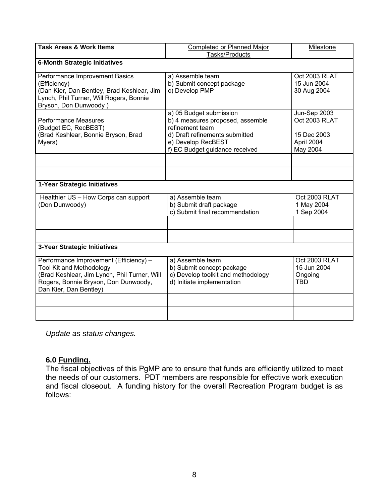| <b>Task Areas &amp; Work Items</b>                                                                                                                                                          | <b>Completed or Planned Major</b>                                                                                                                                        | Milestone                                                              |  |
|---------------------------------------------------------------------------------------------------------------------------------------------------------------------------------------------|--------------------------------------------------------------------------------------------------------------------------------------------------------------------------|------------------------------------------------------------------------|--|
|                                                                                                                                                                                             | Tasks/Products                                                                                                                                                           |                                                                        |  |
| <b>6-Month Strategic Initiatives</b>                                                                                                                                                        |                                                                                                                                                                          |                                                                        |  |
| Performance Improvement Basics<br>(Efficiency)<br>(Dan Kier, Dan Bentley, Brad Keshlear, Jim<br>Lynch, Phil Turner, Will Rogers, Bonnie<br>Bryson, Don Dunwoody)                            | a) Assemble team<br>b) Submit concept package<br>c) Develop PMP                                                                                                          | Oct 2003 RLAT<br>15 Jun 2004<br>30 Aug 2004                            |  |
| <b>Performance Measures</b><br>(Budget EC, RecBEST)<br>(Brad Keshlear, Bonnie Bryson, Brad<br>Myers)                                                                                        | a) 05 Budget submission<br>b) 4 measures proposed, assemble<br>refinement team<br>d) Draft refinements submitted<br>e) Develop RecBEST<br>f) EC Budget guidance received | Jun-Sep 2003<br>Oct 2003 RLAT<br>15 Dec 2003<br>April 2004<br>May 2004 |  |
|                                                                                                                                                                                             |                                                                                                                                                                          |                                                                        |  |
|                                                                                                                                                                                             |                                                                                                                                                                          |                                                                        |  |
| 1-Year Strategic Initiatives                                                                                                                                                                |                                                                                                                                                                          |                                                                        |  |
| Healthier US - How Corps can support<br>(Don Dunwoody)                                                                                                                                      | a) Assemble team<br>b) Submit draft package<br>c) Submit final recommendation                                                                                            | Oct 2003 RLAT<br>1 May 2004<br>1 Sep 2004                              |  |
|                                                                                                                                                                                             |                                                                                                                                                                          |                                                                        |  |
|                                                                                                                                                                                             |                                                                                                                                                                          |                                                                        |  |
| 3-Year Strategic Initiatives                                                                                                                                                                |                                                                                                                                                                          |                                                                        |  |
| Performance Improvement (Efficiency) -<br><b>Tool Kit and Methodology</b><br>(Brad Keshlear, Jim Lynch, Phil Turner, Will<br>Rogers, Bonnie Bryson, Don Dunwoody,<br>Dan Kier, Dan Bentley) | a) Assemble team<br>b) Submit concept package<br>c) Develop toolkit and methodology<br>d) Initiate implementation                                                        | Oct 2003 RLAT<br>15 Jun 2004<br>Ongoing<br><b>TBD</b>                  |  |
|                                                                                                                                                                                             |                                                                                                                                                                          |                                                                        |  |
|                                                                                                                                                                                             |                                                                                                                                                                          |                                                                        |  |

*Update as status changes.* 

### **6.0 Funding.**

The fiscal objectives of this PgMP are to ensure that funds are efficiently utilized to meet the needs of our customers. PDT members are responsible for effective work execution and fiscal closeout. A funding history for the overall Recreation Program budget is as follows: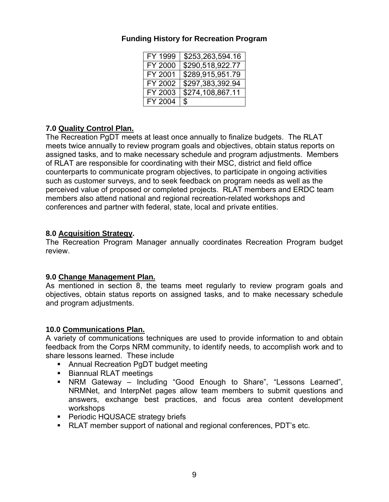### **Funding History for Recreation Program**

| FY 1999 | \$253,263,594.16 |
|---------|------------------|
| FY 2000 | \$290,518,922.77 |
| FY 2001 | \$289,915,951.79 |
| FY 2002 | \$297,383,392.94 |
| FY 2003 | \$274,108,867.11 |
| FY 2004 | \$               |

### **7.0 Quality Control Plan.**

The Recreation PgDT meets at least once annually to finalize budgets. The RLAT meets twice annually to review program goals and objectives, obtain status reports on assigned tasks, and to make necessary schedule and program adjustments. Members of RLAT are responsible for coordinating with their MSC, district and field office counterparts to communicate program objectives, to participate in ongoing activities such as customer surveys, and to seek feedback on program needs as well as the perceived value of proposed or completed projects. RLAT members and ERDC team members also attend national and regional recreation-related workshops and conferences and partner with federal, state, local and private entities.

### **8.0 Acquisition Strategy.**

The Recreation Program Manager annually coordinates Recreation Program budget review.

### **9.0 Change Management Plan.**

As mentioned in section 8, the teams meet regularly to review program goals and objectives, obtain status reports on assigned tasks, and to make necessary schedule and program adjustments.

#### **10.0 Communications Plan.**

A variety of communications techniques are used to provide information to and obtain feedback from the Corps NRM community, to identify needs, to accomplish work and to share lessons learned. These include

- **Annual Recreation PgDT budget meeting**
- **Biannual RLAT meetings**
- NRM Gateway Including "Good Enough to Share", "Lessons Learned", NRMNet, and InterpNet pages allow team members to submit questions and answers, exchange best practices, and focus area content development workshops
- **Periodic HQUSACE strategy briefs**
- RLAT member support of national and regional conferences, PDT's etc.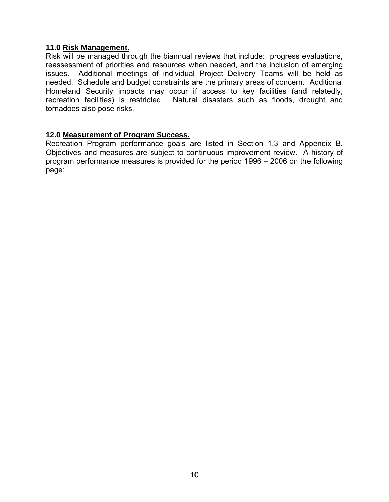### **11.0 Risk Management.**

Risk will be managed through the biannual reviews that include: progress evaluations, reassessment of priorities and resources when needed, and the inclusion of emerging issues. Additional meetings of individual Project Delivery Teams will be held as needed. Schedule and budget constraints are the primary areas of concern. Additional Homeland Security impacts may occur if access to key facilities (and relatedly, recreation facilities) is restricted. Natural disasters such as floods, drought and tornadoes also pose risks.

### **12.0 Measurement of Program Success.**

Recreation Program performance goals are listed in Section 1.3 and Appendix B. Objectives and measures are subject to continuous improvement review. A history of program performance measures is provided for the period 1996 – 2006 on the following page: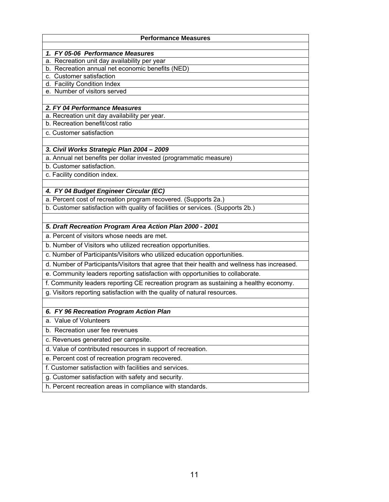| <b>Performance Measures</b>                                                                               |
|-----------------------------------------------------------------------------------------------------------|
| 1. FY 05-06 Performance Measures                                                                          |
| a. Recreation unit day availability per year                                                              |
| b. Recreation annual net economic benefits (NED)                                                          |
| c. Customer satisfaction                                                                                  |
| d. Facility Condition Index                                                                               |
| e. Number of visitors served                                                                              |
| 2. FY 04 Performance Measures                                                                             |
| a. Recreation unit day availability per year.                                                             |
| b. Recreation benefit/cost ratio                                                                          |
| c. Customer satisfaction                                                                                  |
|                                                                                                           |
| 3. Civil Works Strategic Plan 2004 - 2009                                                                 |
| a. Annual net benefits per dollar invested (programmatic measure)                                         |
| b. Customer satisfaction.                                                                                 |
| c. Facility condition index.                                                                              |
|                                                                                                           |
| 4. FY 04 Budget Engineer Circular (EC)<br>a. Percent cost of recreation program recovered. (Supports 2a.) |
| b. Customer satisfaction with quality of facilities or services. (Supports 2b.)                           |
|                                                                                                           |
| 5. Draft Recreation Program Area Action Plan 2000 - 2001                                                  |
| a. Percent of visitors whose needs are met.                                                               |
| b. Number of Visitors who utilized recreation opportunities.                                              |
| c. Number of Participants/Visitors who utilized education opportunities.                                  |
| d. Number of Participants/Visitors that agree that their health and wellness has increased.               |
| e. Community leaders reporting satisfaction with opportunities to collaborate.                            |
| f. Community leaders reporting CE recreation program as sustaining a healthy economy.                     |
| g. Visitors reporting satisfaction with the quality of natural resources.                                 |
|                                                                                                           |
| 6. FY 96 Recreation Program Action Plan                                                                   |
| a. Value of Volunteers                                                                                    |
| b. Recreation user fee revenues                                                                           |
| c. Revenues generated per campsite.                                                                       |
| d. Value of contributed resources in support of recreation.                                               |
| e. Percent cost of recreation program recovered.                                                          |
| f. Customer satisfaction with facilities and services.                                                    |
| g. Customer satisfaction with safety and security.                                                        |
| h. Percent recreation areas in compliance with standards.                                                 |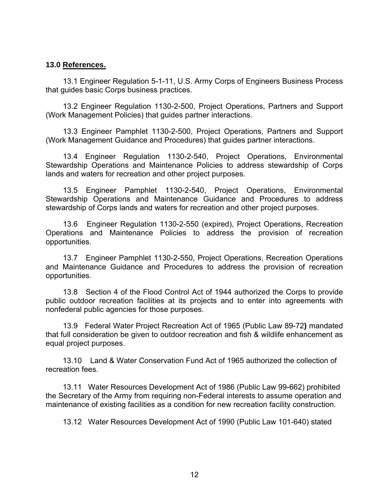### **13.0 References.**

 13.1 Engineer Regulation 5-1-11, U.S. Army Corps of Engineers Business Process that guides basic Corps business practices.

 13.2 Engineer Regulation 1130-2-500, Project Operations, Partners and Support (Work Management Policies) that guides partner interactions.

 13.3 Engineer Pamphlet 1130-2-500, Project Operations, Partners and Support (Work Management Guidance and Procedures) that guides partner interactions.

 13.4 Engineer Regulation 1130-2-540, Project Operations, Environmental Stewardship Operations and Maintenance Policies to address stewardship of Corps lands and waters for recreation and other project purposes.

 13.5 Engineer Pamphlet 1130-2-540, Project Operations, Environmental Stewardship Operations and Maintenance Guidance and Procedures to address stewardship of Corps lands and waters for recreation and other project purposes.

 13.6 Engineer Regulation 1130-2-550 (expired), Project Operations, Recreation Operations and Maintenance Policies to address the provision of recreation opportunities.

 13.7 Engineer Pamphlet 1130-2-550, Project Operations, Recreation Operations and Maintenance Guidance and Procedures to address the provision of recreation opportunities.

 13.8 Section 4 of the Flood Control Act of 1944 authorized the Corps to provide public outdoor recreation facilities at its projects and to enter into agreements with nonfederal public agencies for those purposes.

 13.9 Federal Water Project Recreation Act of 1965 (Public Law 89-72**)** mandated that full consideration be given to outdoor recreation and fish & wildlife enhancement as equal project purposes.

 13.10 Land & Water Conservation Fund Act of 1965 authorized the collection of recreation fees.

 13.11 Water Resources Development Act of 1986 (Public Law 99-662) prohibited the Secretary of the Army from requiring non-Federal interests to assume operation and maintenance of existing facilities as a condition for new recreation facility construction.

13.12 Water Resources Development Act of 1990 (Public Law 101-640) stated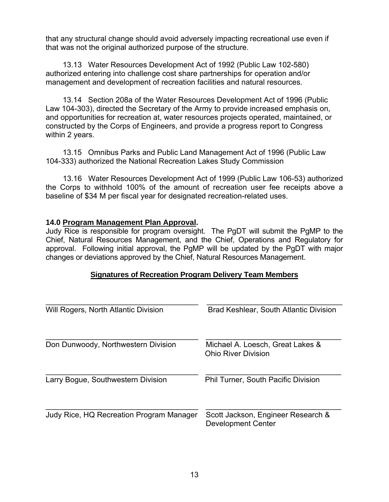that any structural change should avoid adversely impacting recreational use even if that was not the original authorized purpose of the structure.

 13.13 Water Resources Development Act of 1992 (Public Law 102-580) authorized entering into challenge cost share partnerships for operation and/or management and development of recreation facilities and natural resources.

 13.14 Section 208a of the Water Resources Development Act of 1996 (Public Law 104-303), directed the Secretary of the Army to provide increased emphasis on, and opportunities for recreation at, water resources projects operated, maintained, or constructed by the Corps of Engineers, and provide a progress report to Congress within 2 years.

13.15Omnibus Parks and Public Land Management Act of 1996 (Public Law 104-333) authorized the National Recreation Lakes Study Commission

 13.16 Water Resources Development Act of 1999 (Public Law 106-53) authorized the Corps to withhold 100% of the amount of recreation user fee receipts above a baseline of \$34 M per fiscal year for designated recreation-related uses.

### **14.0 Program Management Plan Approval.**

Judy Rice is responsible for program oversight. The PgDT will submit the PgMP to the Chief, Natural Resources Management, and the Chief, Operations and Regulatory for approval. Following initial approval, the PgMP will be updated by the PgDT with major changes or deviations approved by the Chief, Natural Resources Management.

### **Signatures of Recreation Program Delivery Team Members**

| Will Rogers, North Atlantic Division     | <b>Brad Keshlear, South Atlantic Division</b>                   |
|------------------------------------------|-----------------------------------------------------------------|
| Don Dunwoody, Northwestern Division      | Michael A. Loesch, Great Lakes &<br><b>Ohio River Division</b>  |
| Larry Bogue, Southwestern Division       | <b>Phil Turner, South Pacific Division</b>                      |
| Judy Rice, HQ Recreation Program Manager | Scott Jackson, Engineer Research &<br><b>Development Center</b> |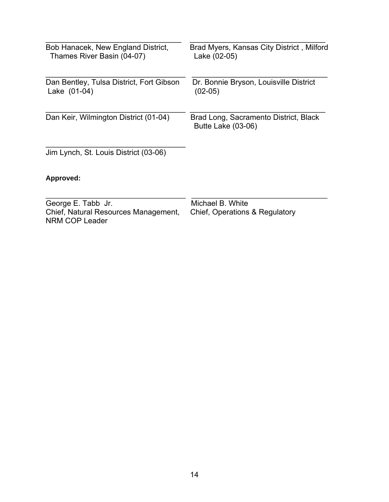| Bob Hanacek, New England District,<br>Thames River Basin (04-07)             | Brad Myers, Kansas City District, Milford<br>Lake (02-05)   |
|------------------------------------------------------------------------------|-------------------------------------------------------------|
| Dan Bentley, Tulsa District, Fort Gibson<br>Lake (01-04)                     | Dr. Bonnie Bryson, Louisville District<br>$(02-05)$         |
| Dan Keir, Wilmington District (01-04)                                        | Brad Long, Sacramento District, Black<br>Butte Lake (03-06) |
| Jim Lynch, St. Louis District (03-06)                                        |                                                             |
| Approved:                                                                    |                                                             |
| George E. Tabb Jr.<br>Chief, Natural Resources Management,<br>NRM COP Leader | Michael B. White<br>Chief, Operations & Regulatory          |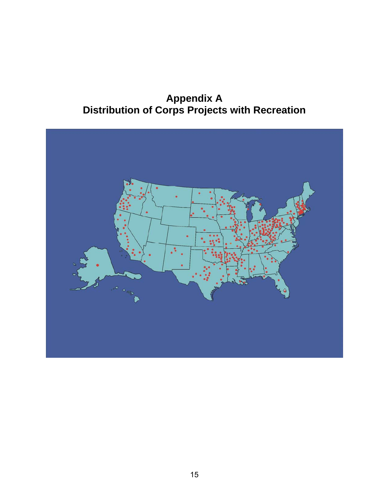## **Appendix A Distribution of Corps Projects with Recreation**

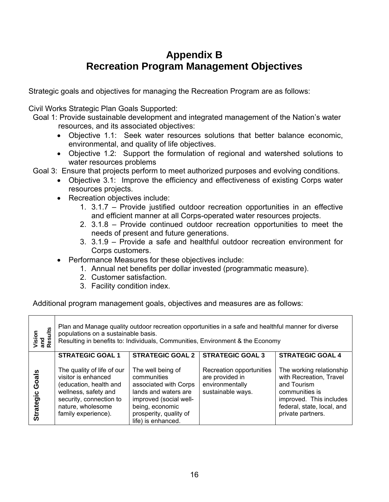## **Appendix B Recreation Program Management Objectives**

Strategic goals and objectives for managing the Recreation Program are as follows:

Civil Works Strategic Plan Goals Supported:

- Goal 1: Provide sustainable development and integrated management of the Nation's water resources, and its associated objectives:
	- Objective 1.1: Seek water resources solutions that better balance economic, environmental, and quality of life objectives.
	- Objective 1.2: Support the formulation of regional and watershed solutions to water resources problems

Goal 3: Ensure that projects perform to meet authorized purposes and evolving conditions.

- Objective 3.1: Improve the efficiency and effectiveness of existing Corps water resources projects.
- Recreation objectives include:
	- 1. 3.1.7 Provide justified outdoor recreation opportunities in an effective and efficient manner at all Corps-operated water resources projects.
	- 2. 3.1.8 Provide continued outdoor recreation opportunities to meet the needs of present and future generations.
	- 3. 3.1.9 Provide a safe and healthful outdoor recreation environment for Corps customers.
- Performance Measures for these objectives include:
	- 1. Annual net benefits per dollar invested (programmatic measure).
	- 2. Customer satisfaction.
	- 3. Facility condition index.

Additional program management goals, objectives and measures are as follows:

| ults<br>Vision<br>and<br>Result | Plan and Manage quality outdoor recreation opportunities in a safe and healthful manner for diverse<br>populations on a sustainable basis.<br>Resulting in benefits to: Individuals, Communities, Environment & the Economy |                                                                                                                                                                                                           |                                                                                                                |                                                                                                                                                                                               |
|---------------------------------|-----------------------------------------------------------------------------------------------------------------------------------------------------------------------------------------------------------------------------|-----------------------------------------------------------------------------------------------------------------------------------------------------------------------------------------------------------|----------------------------------------------------------------------------------------------------------------|-----------------------------------------------------------------------------------------------------------------------------------------------------------------------------------------------|
| Goals<br>Strategic              | <b>STRATEGIC GOAL 1</b><br>The quality of life of our<br>visitor is enhanced<br>(education, health and<br>wellness, safety and<br>security, connection to<br>nature, wholesome<br>family experience).                       | <b>STRATEGIC GOAL 2</b><br>The well being of<br>communities<br>associated with Corps<br>lands and waters are<br>improved (social well-<br>being, economic<br>prosperity, quality of<br>life) is enhanced. | <b>STRATEGIC GOAL 3</b><br>Recreation opportunities<br>are provided in<br>environmentally<br>sustainable ways. | <b>STRATEGIC GOAL 4</b><br>The working relationship<br>with Recreation, Travel<br>and Tourism<br>communities is<br>improved. This includes<br>federal, state, local, and<br>private partners. |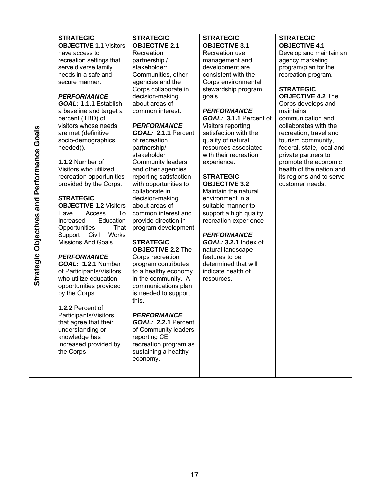| Goals<br>Performance<br>Objectives and<br>Strategic | <b>STRATEGIC</b><br><b>OBJECTIVE 1.1 Visitors</b><br>have access to<br>recreation settings that<br>serve diverse family<br>needs in a safe and<br>secure manner.<br><b>PERFORMANCE</b><br>GOAL: 1.1.1 Establish<br>a baseline and target a<br>percent (TBD) of<br>visitors whose needs<br>are met (definitive<br>socio-demographics<br>needed)).<br>1.1.2 Number of<br>Visitors who utilized<br>recreation opportunities<br>provided by the Corps.<br><b>STRATEGIC</b><br><b>OBJECTIVE 1.2 Visitors</b><br>Have<br>Access<br>To<br>Education<br>Increased<br>That<br>Opportunities<br>Support<br>Works<br>Civil<br>Missions And Goals.<br><b>PERFORMANCE</b><br>GOAL: 1.2.1 Number<br>of Participants/Visitors<br>who utilize education<br>opportunities provided<br>by the Corps.<br>1.2.2 Percent of<br>Participants/Visitors<br>that agree that their<br>understanding or<br>knowledge has<br>increased provided by<br>the Corps | <b>OBJECTIVE 2.1</b><br>Recreation<br>partnership /<br>stakeholder:<br>Communities, other<br>agencies and the<br>Corps collaborate in<br>decision-making<br>about areas of<br>common interest.<br><b>PERFORMANCE</b><br>GOAL: 2.1.1 Percent<br>of recreation<br>partnership/<br>stakeholder<br><b>Community leaders</b><br>and other agencies<br>reporting satisfaction<br>with opportunities to<br>collaborate in<br>decision-making<br>about areas of<br>common interest and<br>provide direction in<br>program development<br><b>STRATEGIC</b><br><b>OBJECTIVE 2.2 The</b><br>Corps recreation<br>program contributes<br>to a healthy economy<br>in the community. A<br>communications plan<br>is needed to support<br>this.<br>PERFORMANCE<br>GOAL: 2.2.1 Percent<br>of Community leaders<br>reporting CE<br>recreation program as<br>sustaining a healthy<br>economy. | <b>OBJECTIVE 3.1</b><br>Recreation use<br>management and<br>development are<br>consistent with the<br>Corps environmental<br>stewardship program<br>goals.<br><b>PERFORMANCE</b><br>GOAL: 3.1.1 Percent of<br>Visitors reporting<br>satisfaction with the<br>quality of natural<br>resources associated<br>with their recreation<br>experience.<br><b>STRATEGIC</b><br><b>OBJECTIVE 3.2</b><br>Maintain the natural<br>environment in a<br>suitable manner to<br>support a high quality<br>recreation experience<br><b>PERFORMANCE</b><br><b>GOAL: 3.2.1 Index of</b><br>natural landscape<br>features to be<br>determined that will<br>indicate health of<br>resources. | <b>OBJECTIVE 4.1</b><br>Develop and maintain an<br>agency marketing<br>program/plan for the<br>recreation program.<br><b>STRATEGIC</b><br><b>OBJECTIVE 4.2 The</b><br>Corps develops and<br>maintains<br>communication and<br>collaborates with the<br>recreation, travel and<br>tourism community,<br>federal, state, local and<br>private partners to<br>promote the economic<br>health of the nation and<br>its regions and to serve<br>customer needs. |
|-----------------------------------------------------|-------------------------------------------------------------------------------------------------------------------------------------------------------------------------------------------------------------------------------------------------------------------------------------------------------------------------------------------------------------------------------------------------------------------------------------------------------------------------------------------------------------------------------------------------------------------------------------------------------------------------------------------------------------------------------------------------------------------------------------------------------------------------------------------------------------------------------------------------------------------------------------------------------------------------------------|----------------------------------------------------------------------------------------------------------------------------------------------------------------------------------------------------------------------------------------------------------------------------------------------------------------------------------------------------------------------------------------------------------------------------------------------------------------------------------------------------------------------------------------------------------------------------------------------------------------------------------------------------------------------------------------------------------------------------------------------------------------------------------------------------------------------------------------------------------------------------|--------------------------------------------------------------------------------------------------------------------------------------------------------------------------------------------------------------------------------------------------------------------------------------------------------------------------------------------------------------------------------------------------------------------------------------------------------------------------------------------------------------------------------------------------------------------------------------------------------------------------------------------------------------------------|------------------------------------------------------------------------------------------------------------------------------------------------------------------------------------------------------------------------------------------------------------------------------------------------------------------------------------------------------------------------------------------------------------------------------------------------------------|
|-----------------------------------------------------|-------------------------------------------------------------------------------------------------------------------------------------------------------------------------------------------------------------------------------------------------------------------------------------------------------------------------------------------------------------------------------------------------------------------------------------------------------------------------------------------------------------------------------------------------------------------------------------------------------------------------------------------------------------------------------------------------------------------------------------------------------------------------------------------------------------------------------------------------------------------------------------------------------------------------------------|----------------------------------------------------------------------------------------------------------------------------------------------------------------------------------------------------------------------------------------------------------------------------------------------------------------------------------------------------------------------------------------------------------------------------------------------------------------------------------------------------------------------------------------------------------------------------------------------------------------------------------------------------------------------------------------------------------------------------------------------------------------------------------------------------------------------------------------------------------------------------|--------------------------------------------------------------------------------------------------------------------------------------------------------------------------------------------------------------------------------------------------------------------------------------------------------------------------------------------------------------------------------------------------------------------------------------------------------------------------------------------------------------------------------------------------------------------------------------------------------------------------------------------------------------------------|------------------------------------------------------------------------------------------------------------------------------------------------------------------------------------------------------------------------------------------------------------------------------------------------------------------------------------------------------------------------------------------------------------------------------------------------------------|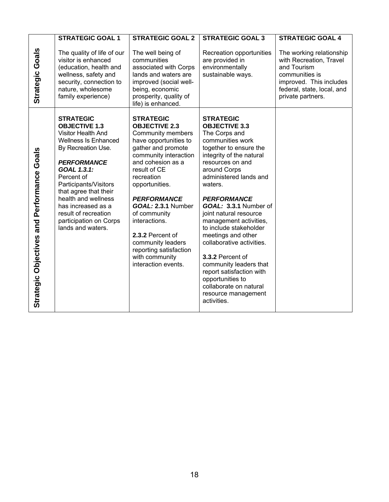|                                                  | <b>STRATEGIC GOAL 1</b>                                                                                                                                                                                                                                                                                                                      | <b>STRATEGIC GOAL 2</b>                                                                                                                                                                                                                                                                                                                                                                                    | <b>STRATEGIC GOAL 3</b>                                                                                                                                                                                                                                                                                                                                                                                                                                                                                                                                    | <b>STRATEGIC GOAL 4</b>                                                                                                                                            |
|--------------------------------------------------|----------------------------------------------------------------------------------------------------------------------------------------------------------------------------------------------------------------------------------------------------------------------------------------------------------------------------------------------|------------------------------------------------------------------------------------------------------------------------------------------------------------------------------------------------------------------------------------------------------------------------------------------------------------------------------------------------------------------------------------------------------------|------------------------------------------------------------------------------------------------------------------------------------------------------------------------------------------------------------------------------------------------------------------------------------------------------------------------------------------------------------------------------------------------------------------------------------------------------------------------------------------------------------------------------------------------------------|--------------------------------------------------------------------------------------------------------------------------------------------------------------------|
| Goals<br>Strategic                               | The quality of life of our<br>visitor is enhanced<br>(education, health and<br>wellness, safety and<br>security, connection to<br>nature, wholesome<br>family experience)                                                                                                                                                                    | The well being of<br>communities<br>associated with Corps<br>lands and waters are<br>improved (social well-<br>being, economic<br>prosperity, quality of<br>life) is enhanced.                                                                                                                                                                                                                             | Recreation opportunities<br>are provided in<br>environmentally<br>sustainable ways.                                                                                                                                                                                                                                                                                                                                                                                                                                                                        | The working relationship<br>with Recreation, Travel<br>and Tourism<br>communities is<br>improved. This includes<br>federal, state, local, and<br>private partners. |
| Performance Goals<br>Objectives and<br>Strategic | <b>STRATEGIC</b><br><b>OBJECTIVE 1.3</b><br>Visitor Health And<br><b>Wellness Is Enhanced</b><br>By Recreation Use.<br><b>PERFORMANCE</b><br>GOAL 1.3.1:<br>Percent of<br>Participants/Visitors<br>that agree that their<br>health and wellness<br>has increased as a<br>result of recreation<br>participation on Corps<br>lands and waters. | <b>STRATEGIC</b><br><b>OBJECTIVE 2.3</b><br><b>Community members</b><br>have opportunities to<br>gather and promote<br>community interaction<br>and cohesion as a<br>result of CE<br>recreation<br>opportunities.<br><b>PERFORMANCE</b><br>GOAL: 2.3.1 Number<br>of community<br>interactions.<br>2.3.2 Percent of<br>community leaders<br>reporting satisfaction<br>with community<br>interaction events. | <b>STRATEGIC</b><br><b>OBJECTIVE 3.3</b><br>The Corps and<br>communities work<br>together to ensure the<br>integrity of the natural<br>resources on and<br>around Corps<br>administered lands and<br>waters.<br><b>PERFORMANCE</b><br>GOAL: 3.3.1 Number of<br>joint natural resource<br>management activities,<br>to include stakeholder<br>meetings and other<br>collaborative activities.<br>3.3.2 Percent of<br>community leaders that<br>report satisfaction with<br>opportunities to<br>collaborate on natural<br>resource management<br>activities. |                                                                                                                                                                    |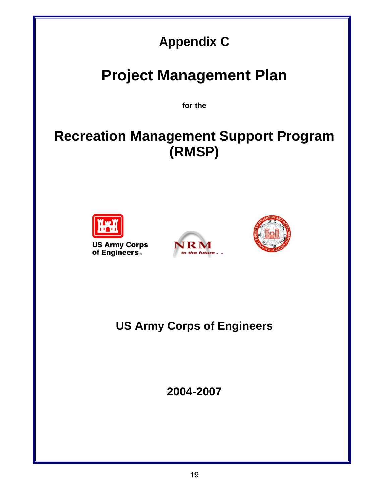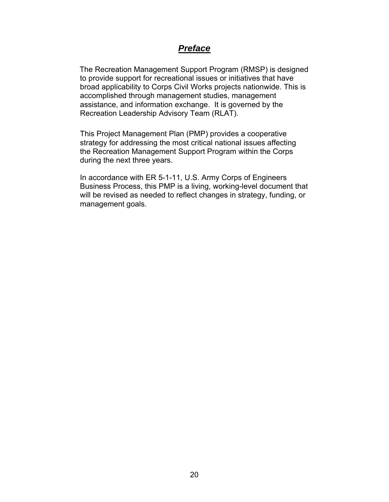### *Preface*

 The Recreation Management Support Program (RMSP) is designed to provide support for recreational issues or initiatives that have broad applicability to Corps Civil Works projects nationwide. This is accomplished through management studies, management assistance, and information exchange. It is governed by the Recreation Leadership Advisory Team (RLAT).

This Project Management Plan (PMP) provides a cooperative strategy for addressing the most critical national issues affecting the Recreation Management Support Program within the Corps during the next three years.

In accordance with ER 5-1-11, U.S. Army Corps of Engineers Business Process, this PMP is a living, working-level document that will be revised as needed to reflect changes in strategy, funding, or management goals.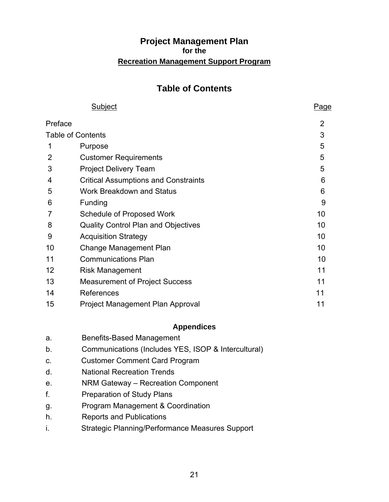### **Project Management Plan for the Recreation Management Support Program**

## **Table of Contents**

|         | Subject                                     | Page           |
|---------|---------------------------------------------|----------------|
| Preface |                                             | $\overline{2}$ |
|         | <b>Table of Contents</b>                    | 3              |
|         | Purpose                                     | 5              |
| 2       | <b>Customer Requirements</b>                | 5              |
| 3       | <b>Project Delivery Team</b>                | 5              |
| 4       | <b>Critical Assumptions and Constraints</b> | 6              |
| 5       | <b>Work Breakdown and Status</b>            | 6              |
| 6       | Funding                                     | 9              |
| 7       | Schedule of Proposed Work                   | 10             |
| 8       | <b>Quality Control Plan and Objectives</b>  | 10             |
| 9       | <b>Acquisition Strategy</b>                 | 10             |
| 10      | <b>Change Management Plan</b>               | 10             |
| 11      | <b>Communications Plan</b>                  | 10             |
| 12      | <b>Risk Management</b>                      | 11             |
| 13      | <b>Measurement of Project Success</b>       | 11             |
| 14      | References                                  | 11             |
| 15      | Project Management Plan Approval            | 11             |

### **Appendices**

| <b>Benefits-Based Management</b> |
|----------------------------------|
|                                  |

- b. Communications (Includes YES, ISOP & Intercultural)
- c. Customer Comment Card Program
- d. National Recreation Trends
- e. NRM Gateway Recreation Component
- f. Preparation of Study Plans
- g. Program Management & Coordination
- h. Reports and Publications
- i. Strategic Planning/Performance Measures Support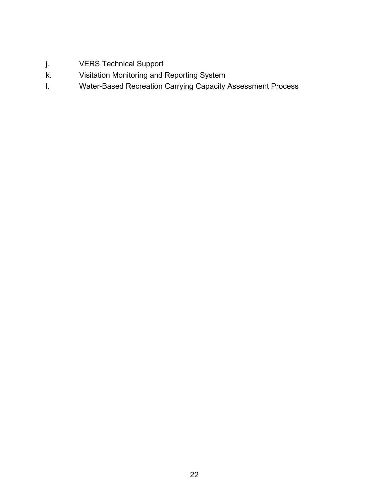- j. VERS Technical Support
- k. Visitation Monitoring and Reporting System
- l. Water-Based Recreation Carrying Capacity Assessment Process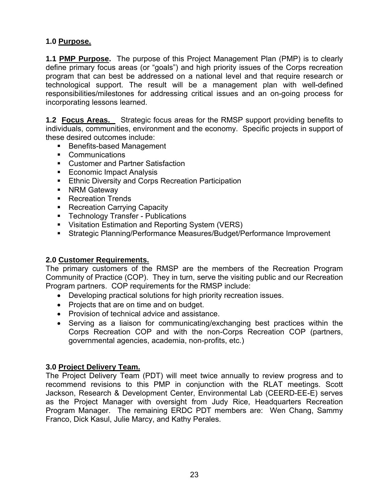### **1.0 Purpose.**

**1.1 PMP Purpose.** The purpose of this Project Management Plan (PMP) is to clearly define primary focus areas (or "goals") and high priority issues of the Corps recreation program that can best be addressed on a national level and that require research or technological support. The result will be a management plan with well-defined responsibilities/milestones for addressing critical issues and an on-going process for incorporating lessons learned.

**1.2 Focus Areas.** Strategic focus areas for the RMSP support providing benefits to individuals, communities, environment and the economy. Specific projects in support of these desired outcomes include:

- **Benefits-based Management**
- **Communications**
- Customer and Partner Satisfaction
- Economic Impact Analysis
- **Ethnic Diversity and Corps Recreation Participation**
- **NRM Gateway**
- **Recreation Trends**
- Recreation Carrying Capacity
- **F** Technology Transfer Publications
- **•** Visitation Estimation and Reporting System (VERS)
- Strategic Planning/Performance Measures/Budget/Performance Improvement

### **2.0 Customer Requirements.**

The primary customers of the RMSP are the members of the Recreation Program Community of Practice (COP). They in turn, serve the visiting public and our Recreation Program partners. COP requirements for the RMSP include:

- Developing practical solutions for high priority recreation issues.
- Projects that are on time and on budget.
- Provision of technical advice and assistance.
- Serving as a liaison for communicating/exchanging best practices within the Corps Recreation COP and with the non-Corps Recreation COP (partners, governmental agencies, academia, non-profits, etc.)

### **3.0 Project Delivery Team.**

The Project Delivery Team (PDT) will meet twice annually to review progress and to recommend revisions to this PMP in conjunction with the RLAT meetings. Scott Jackson, Research & Development Center, Environmental Lab (CEERD-EE-E) serves as the Project Manager with oversight from Judy Rice, Headquarters Recreation Program Manager. The remaining ERDC PDT members are: Wen Chang, Sammy Franco, Dick Kasul, Julie Marcy, and Kathy Perales.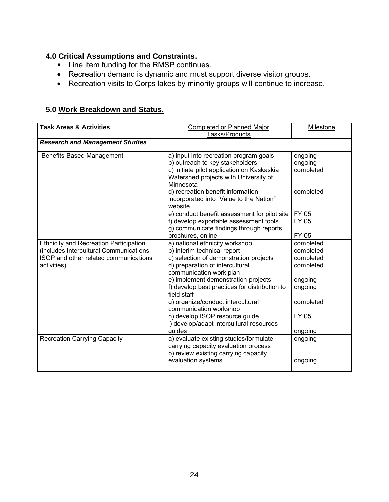### **4.0 Critical Assumptions and Constraints.**

- **Line item funding for the RMSP continues.**
- Recreation demand is dynamic and must support diverse visitor groups.
- Recreation visits to Corps lakes by minority groups will continue to increase.

### **5.0 Work Breakdown and Status.**

| <b>Task Areas &amp; Activities</b>            | <b>Completed or Planned Major</b>                        | Milestone |
|-----------------------------------------------|----------------------------------------------------------|-----------|
|                                               | Tasks/Products                                           |           |
| <b>Research and Management Studies</b>        |                                                          |           |
| <b>Benefits-Based Management</b>              | a) input into recreation program goals                   | ongoing   |
|                                               | b) outreach to key stakeholders                          | ongoing   |
|                                               | c) initiate pilot application on Kaskaskia               | completed |
|                                               | Watershed projects with University of                    |           |
|                                               | Minnesota                                                |           |
|                                               | d) recreation benefit information                        | completed |
|                                               | incorporated into "Value to the Nation"                  |           |
|                                               | website                                                  |           |
|                                               | e) conduct benefit assessment for pilot site             | FY 05     |
|                                               | f) develop exportable assessment tools                   | FY 05     |
|                                               | g) communicate findings through reports,                 |           |
|                                               | brochures, online                                        | FY 05     |
| <b>Ethnicity and Recreation Participation</b> | a) national ethnicity workshop                           | completed |
| (includes Intercultural Communications,       | b) interim technical report                              | completed |
| ISOP and other related communications         | c) selection of demonstration projects                   | completed |
| activities)                                   | d) preparation of intercultural                          | completed |
|                                               | communication work plan                                  |           |
|                                               | e) implement demonstration projects                      | ongoing   |
|                                               | f) develop best practices for distribution to            | ongoing   |
|                                               | field staff                                              |           |
|                                               | g) organize/conduct intercultural                        | completed |
|                                               | communication workshop<br>h) develop ISOP resource guide | FY 05     |
|                                               | i) develop/adapt intercultural resources                 |           |
|                                               | guides                                                   | ongoing   |
| <b>Recreation Carrying Capacity</b>           | a) evaluate existing studies/formulate                   | ongoing   |
|                                               | carrying capacity evaluation process                     |           |
|                                               | b) review existing carrying capacity                     |           |
|                                               | evaluation systems                                       | ongoing   |
|                                               |                                                          |           |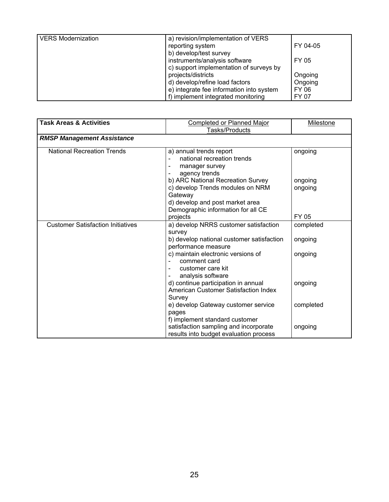| <b>VERS Modernization</b> | a) revision/implementation of VERS       |          |
|---------------------------|------------------------------------------|----------|
|                           | reporting system                         | FY 04-05 |
|                           | b) develop/test survey                   |          |
|                           | instruments/analysis software            | FY 05    |
|                           | c) support implementation of surveys by  |          |
|                           | projects/districts                       | Ongoing  |
|                           | d) develop/refine load factors           | Ongoing  |
|                           | e) integrate fee information into system | FY 06    |
|                           | f) implement integrated monitoring       | FY 07    |

| <b>Task Areas &amp; Activities</b>       | <b>Completed or Planned Major</b><br>Tasks/Products                                                                                                                                                                                                        | Milestone                       |
|------------------------------------------|------------------------------------------------------------------------------------------------------------------------------------------------------------------------------------------------------------------------------------------------------------|---------------------------------|
| <b>RMSP Management Assistance</b>        |                                                                                                                                                                                                                                                            |                                 |
| <b>National Recreation Trends</b>        | a) annual trends report<br>national recreation trends<br>manager survey<br>÷<br>agency trends<br>b) ARC National Recreation Survey<br>c) develop Trends modules on NRM<br>Gateway<br>d) develop and post market area<br>Demographic information for all CE | ongoing<br>ongoing<br>ongoing   |
|                                          | projects                                                                                                                                                                                                                                                   | FY 05                           |
| <b>Customer Satisfaction Initiatives</b> | a) develop NRRS customer satisfaction<br>survey<br>b) develop national customer satisfaction<br>performance measure<br>c) maintain electronic versions of<br>comment card<br>customer care kit<br>$\blacksquare$                                           | completed<br>ongoing<br>ongoing |
|                                          | analysis software<br>d) continue participation in annual<br>American Customer Satisfaction Index<br>Survey                                                                                                                                                 | ongoing                         |
|                                          | e) develop Gateway customer service<br>pages<br>f) implement standard customer<br>satisfaction sampling and incorporate<br>results into budget evaluation process                                                                                          | completed<br>ongoing            |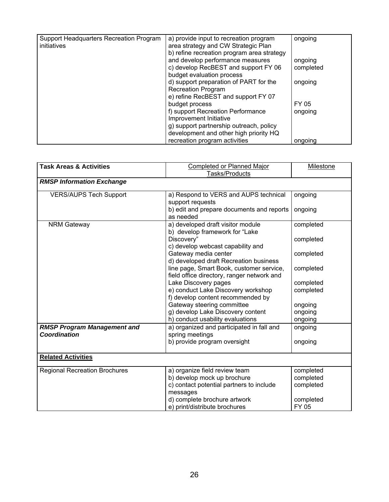| Support Headquarters Recreation Program | a) provide input to recreation program     | ongoing   |
|-----------------------------------------|--------------------------------------------|-----------|
| initiatives                             | area strategy and CW Strategic Plan        |           |
|                                         | b) refine recreation program area strategy |           |
|                                         | and develop performance measures           | ongoing   |
|                                         | c) develop RecBEST and support FY 06       | completed |
|                                         | budget evaluation process                  |           |
|                                         | d) support preparation of PART for the     | ongoing   |
|                                         | <b>Recreation Program</b>                  |           |
|                                         | e) refine RecBEST and support FY 07        |           |
|                                         | budget process                             | FY 05     |
|                                         | f) support Recreation Performance          | ongoing   |
|                                         | Improvement Initiative                     |           |
|                                         | g) support partnership outreach, policy    |           |
|                                         | development and other high priority HQ     |           |
|                                         | recreation program activities              | ongoing   |

| <b>Task Areas &amp; Activities</b>   | <b>Completed or Planned Major</b><br>Tasks/Products                                    | Milestone          |
|--------------------------------------|----------------------------------------------------------------------------------------|--------------------|
| <b>RMSP Information Exchange</b>     |                                                                                        |                    |
| <b>VERS/AUPS Tech Support</b>        | a) Respond to VERS and AUPS technical<br>support requests                              | ongoing            |
|                                      | b) edit and prepare documents and reports<br>as needed                                 | ongoing            |
| <b>NRM Gateway</b>                   | a) developed draft visitor module<br>b) develop framework for "Lake                    | completed          |
|                                      | Discovery"<br>c) develop webcast capability and                                        | completed          |
|                                      | Gateway media center<br>d) developed draft Recreation business                         | completed          |
|                                      | line page, Smart Book, customer service,<br>field office directory, ranger network and | completed          |
|                                      | Lake Discovery pages                                                                   | completed          |
|                                      | e) conduct Lake Discovery workshop                                                     | completed          |
|                                      | f) develop content recommended by                                                      |                    |
|                                      | Gateway steering committee                                                             | ongoing            |
|                                      | g) develop Lake Discovery content<br>h) conduct usability evaluations                  | ongoing            |
| <b>RMSP Program Management and</b>   | a) organized and participated in fall and                                              | ongoing<br>ongoing |
| <b>Coordination</b>                  | spring meetings                                                                        |                    |
|                                      | b) provide program oversight                                                           | ongoing            |
| <b>Related Activities</b>            |                                                                                        |                    |
| <b>Regional Recreation Brochures</b> | a) organize field review team                                                          | completed          |
|                                      | b) develop mock up brochure                                                            | completed          |
|                                      | c) contact potential partners to include                                               | completed          |
|                                      | messages                                                                               |                    |
|                                      | d) complete brochure artwork                                                           | completed          |
|                                      | e) print/distribute brochures                                                          | FY 05              |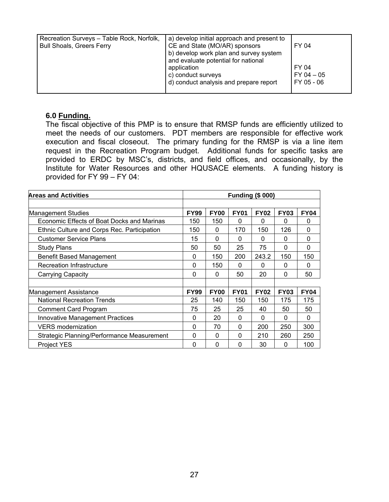| Recreation Surveys - Table Rock, Norfolk, | a) develop initial approach and present to |                |
|-------------------------------------------|--------------------------------------------|----------------|
| <b>Bull Shoals, Greers Ferry</b>          | CE and State (MO/AR) sponsors              | FY 04          |
|                                           | b) develop work plan and survey system     |                |
|                                           | and evaluate potential for national        |                |
|                                           | application                                | FY 04          |
|                                           | c) conduct surveys                         | $FY$ 04 $-$ 05 |
|                                           | d) conduct analysis and prepare report     | FY 05 - 06     |
|                                           |                                            |                |
|                                           |                                            |                |

### **6.0 Funding.**

The fiscal objective of this PMP is to ensure that RMSP funds are efficiently utilized to meet the needs of our customers. PDT members are responsible for effective work execution and fiscal closeout. The primary funding for the RMSP is via a line item request in the Recreation Program budget. Additional funds for specific tasks are provided to ERDC by MSC's, districts, and field offices, and occasionally, by the Institute for Water Resources and other HQUSACE elements. A funding history is provided for FY 99 – FY 04:

| <b>Areas and Activities</b>                       | <b>Funding (\$ 000)</b> |             |             |             |             |             |
|---------------------------------------------------|-------------------------|-------------|-------------|-------------|-------------|-------------|
|                                                   |                         |             |             |             |             |             |
| Management Studies                                | <b>FY99</b>             | <b>FY00</b> | <b>FY01</b> | <b>FY02</b> | <b>FY03</b> | <b>FY04</b> |
| Economic Effects of Boat Docks and Marinas        | 150                     | 150         | 0           | $\Omega$    | 0           | 0           |
| Ethnic Culture and Corps Rec. Participation       | 150                     | 0           | 170         | 150         | 126         | $\Omega$    |
| <b>Customer Service Plans</b>                     | 15                      | $\Omega$    | $\Omega$    | $\Omega$    | $\Omega$    | 0           |
| <b>Study Plans</b>                                | 50                      | 50          | 25          | 75          | $\Omega$    | $\Omega$    |
| <b>Benefit Based Management</b>                   | 0                       | 150         | 200         | 243.2       | 150         | 150         |
| <b>Recreation Infrastructure</b>                  | 0                       | 150         | 0           | $\Omega$    | 0           | 0           |
| Carrying Capacity                                 | 0                       | 0           | 50          | 20          | 0           | 50          |
|                                                   |                         |             |             |             |             |             |
| <b>Management Assistance</b>                      | <b>FY99</b>             | <b>FY00</b> | <b>FY01</b> | <b>FY02</b> | <b>FY03</b> | <b>FY04</b> |
| <b>National Recreation Trends</b>                 | 25                      | 140         | 150         | 150         | 175         | 175         |
| <b>Comment Card Program</b>                       | 75                      | 25          | 25          | 40          | 50          | 50          |
| <b>Innovative Management Practices</b>            | 0                       | 20          | $\Omega$    | $\Omega$    | 0           | $\Omega$    |
| <b>VERS</b> modernization                         | 0                       | 70          | 0           | 200         | 250         | 300         |
| <b>Strategic Planning/Performance Measurement</b> | 0                       | 0           | 0           | 210         | 260         | 250         |
| <b>Project YES</b>                                | 0                       | 0           | 0           | 30          | 0           | 100         |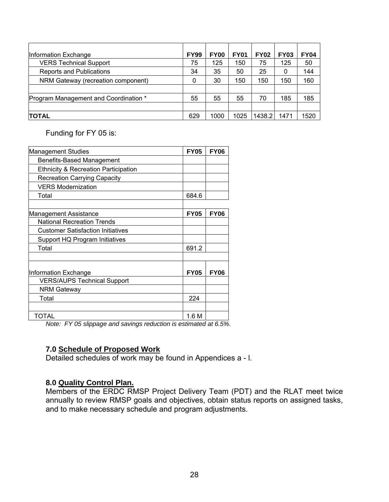| Information Exchange                  | <b>FY99</b> | <b>FY00</b> | <b>FY01</b> | <b>FY02</b> | <b>FY03</b> | <b>FY04</b> |
|---------------------------------------|-------------|-------------|-------------|-------------|-------------|-------------|
| <b>VERS Technical Support</b>         | 75          | 125         | 150         | 75          | 125         | 50          |
| <b>Reports and Publications</b>       | 34          | 35          | 50          | 25          | 0           | 144         |
| NRM Gateway (recreation component)    | 0           | 30          | 150         | 150         | 150         | 160         |
|                                       |             |             |             |             |             |             |
| Program Management and Coordination * | 55          | 55          | 55          | 70          | 185         | 185         |
|                                       |             |             |             |             |             |             |
| <b>TOTAL</b>                          | 629         | 1000        | 1025        | 1438.2      | 1471        | 1520        |

Funding for FY 05 is:

| <b>Management Studies</b>                       | <b>FY05</b> | <b>FY06</b> |
|-------------------------------------------------|-------------|-------------|
| <b>Benefits-Based Management</b>                |             |             |
| <b>Ethnicity &amp; Recreation Participation</b> |             |             |
| <b>Recreation Carrying Capacity</b>             |             |             |
| <b>VERS Modernization</b>                       |             |             |
| Total                                           | 684.6       |             |
|                                                 |             |             |
| <b>Management Assistance</b>                    | <b>FY05</b> | <b>FY06</b> |
| <b>National Recreation Trends</b>               |             |             |
| <b>Customer Satisfaction Initiatives</b>        |             |             |
| Support HQ Program Initiatives                  |             |             |
| Total                                           | 691.2       |             |
|                                                 |             |             |
| Information Exchange                            | <b>FY05</b> | <b>FY06</b> |
| <b>VERS/AUPS Technical Support</b>              |             |             |
| <b>NRM Gateway</b>                              |             |             |
| Total                                           | 224         |             |
|                                                 |             |             |
| TOTAL                                           | 1.6 M       |             |

*Note: FY 05 slippage and savings reduction is estimated at 6.5%.* 

### **7.0 Schedule of Proposed Work**

Detailed schedules of work may be found in Appendices a - l.

### **8.0 Quality Control Plan.**

Members of the ERDC RMSP Project Delivery Team (PDT) and the RLAT meet twice annually to review RMSP goals and objectives, obtain status reports on assigned tasks, and to make necessary schedule and program adjustments.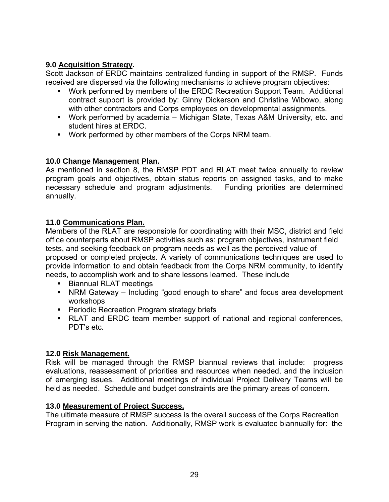### **9.0 Acquisition Strategy.**

Scott Jackson of ERDC maintains centralized funding in support of the RMSP. Funds received are dispersed via the following mechanisms to achieve program objectives:

- Work performed by members of the ERDC Recreation Support Team. Additional contract support is provided by: Ginny Dickerson and Christine Wibowo, along with other contractors and Corps employees on developmental assignments.
- Work performed by academia Michigan State, Texas A&M University, etc. and student hires at ERDC.
- Work performed by other members of the Corps NRM team.

### **10.0 Change Management Plan.**

As mentioned in section 8, the RMSP PDT and RLAT meet twice annually to review program goals and objectives, obtain status reports on assigned tasks, and to make necessary schedule and program adjustments. Funding priorities are determined annually.

### **11.0 Communications Plan.**

Members of the RLAT are responsible for coordinating with their MSC, district and field office counterparts about RMSP activities such as: program objectives, instrument field tests, and seeking feedback on program needs as well as the perceived value of proposed or completed projects. A variety of communications techniques are used to provide information to and obtain feedback from the Corps NRM community, to identify needs, to accomplish work and to share lessons learned. These include

- **Biannual RLAT meetings**
- NRM Gateway Including "good enough to share" and focus area development workshops
- **Periodic Recreation Program strategy briefs**
- RLAT and ERDC team member support of national and regional conferences, PDT's etc.

### **12.0 Risk Management.**

Risk will be managed through the RMSP biannual reviews that include: progress evaluations, reassessment of priorities and resources when needed, and the inclusion of emerging issues. Additional meetings of individual Project Delivery Teams will be held as needed. Schedule and budget constraints are the primary areas of concern.

### **13.0 Measurement of Project Success.**

The ultimate measure of RMSP success is the overall success of the Corps Recreation Program in serving the nation. Additionally, RMSP work is evaluated biannually for: the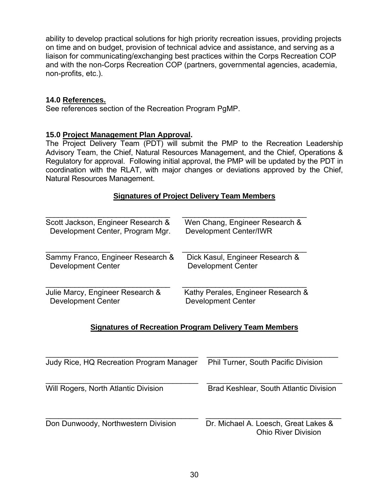ability to develop practical solutions for high priority recreation issues, providing projects on time and on budget, provision of technical advice and assistance, and serving as a liaison for communicating/exchanging best practices within the Corps Recreation COP and with the non-Corps Recreation COP (partners, governmental agencies, academia, non-profits, etc.).

### **14.0 References.**

See references section of the Recreation Program PgMP.

### **15.0 Project Management Plan Approval.**

The Project Delivery Team (PDT) will submit the PMP to the Recreation Leadership Advisory Team, the Chief, Natural Resources Management, and the Chief, Operations & Regulatory for approval. Following initial approval, the PMP will be updated by the PDT in coordination with the RLAT, with major changes or deviations approved by the Chief, Natural Resources Management.

### **Signatures of Project Delivery Team Members**

| Scott Jackson, Engineer Research & | Wen Chang, Engineer Research &     |
|------------------------------------|------------------------------------|
| Development Center, Program Mgr.   | <b>Development Center/IWR</b>      |
| Sammy Franco, Engineer Research &  | Dick Kasul, Engineer Research &    |
| <b>Development Center</b>          | <b>Development Center</b>          |
| Julie Marcy, Engineer Research &   | Kathy Perales, Engineer Research & |
| <b>Development Center</b>          | <b>Development Center</b>          |

### **Signatures of Recreation Program Delivery Team Members**

| <b>Judy Rice, HQ Recreation Program Manager</b> | <b>Phil Turner, South Pacific Division</b>                         |
|-------------------------------------------------|--------------------------------------------------------------------|
| Will Rogers, North Atlantic Division            | Brad Keshlear, South Atlantic Division                             |
| Don Dunwoody, Northwestern Division             | Dr. Michael A. Loesch, Great Lakes &<br><b>Ohio River Division</b> |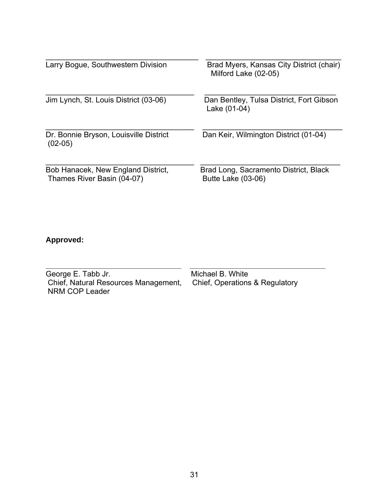| Larry Bogue, Southwestern Division                               | Brad Myers, Kansas City District (chair)<br>Milford Lake (02-05) |
|------------------------------------------------------------------|------------------------------------------------------------------|
| Jim Lynch, St. Louis District (03-06)                            | Dan Bentley, Tulsa District, Fort Gibson<br>Lake (01-04)         |
| Dr. Bonnie Bryson, Louisville District<br>$(02-05)$              | Dan Keir, Wilmington District (01-04)                            |
| Bob Hanacek, New England District,<br>Thames River Basin (04-07) | Brad Long, Sacramento District, Black<br>Butte Lake (03-06)      |

### **Approved:**

| George E. Tabb Jr.                                     | Michael B. White               |
|--------------------------------------------------------|--------------------------------|
| Chief, Natural Resources Management,<br>NRM COP Leader | Chief, Operations & Regulatory |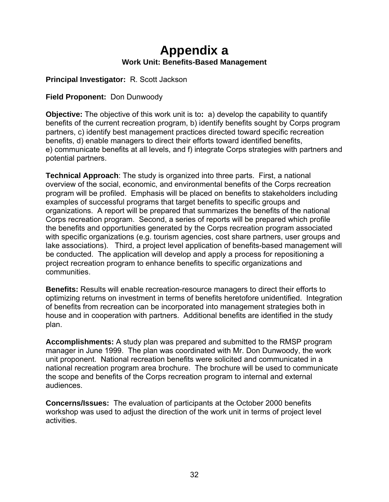## **Appendix a Work Unit: Benefits-Based Management**

**Principal Investigator:** R. Scott Jackson

**Field Proponent:** Don Dunwoody

**Objective:** The objective of this work unit is to**:** a) develop the capability to quantify benefits of the current recreation program, b) identify benefits sought by Corps program partners, c) identify best management practices directed toward specific recreation benefits, d) enable managers to direct their efforts toward identified benefits, e) communicate benefits at all levels, and f) integrate Corps strategies with partners and potential partners.

**Technical Approach**: The study is organized into three parts. First, a national overview of the social, economic, and environmental benefits of the Corps recreation program will be profiled. Emphasis will be placed on benefits to stakeholders including examples of successful programs that target benefits to specific groups and organizations. A report will be prepared that summarizes the benefits of the national Corps recreation program. Second, a series of reports will be prepared which profile the benefits and opportunities generated by the Corps recreation program associated with specific organizations (e.g. tourism agencies, cost share partners, user groups and lake associations). Third, a project level application of benefits-based management will be conducted. The application will develop and apply a process for repositioning a project recreation program to enhance benefits to specific organizations and communities.

**Benefits:** Results will enable recreation-resource managers to direct their efforts to optimizing returns on investment in terms of benefits heretofore unidentified. Integration of benefits from recreation can be incorporated into management strategies both in house and in cooperation with partners. Additional benefits are identified in the study plan.

**Accomplishments:** A study plan was prepared and submitted to the RMSP program manager in June 1999. The plan was coordinated with Mr. Don Dunwoody, the work unit proponent. National recreation benefits were solicited and communicated in a national recreation program area brochure. The brochure will be used to communicate the scope and benefits of the Corps recreation program to internal and external audiences.

**Concerns/Issues:** The evaluation of participants at the October 2000 benefits workshop was used to adjust the direction of the work unit in terms of project level activities.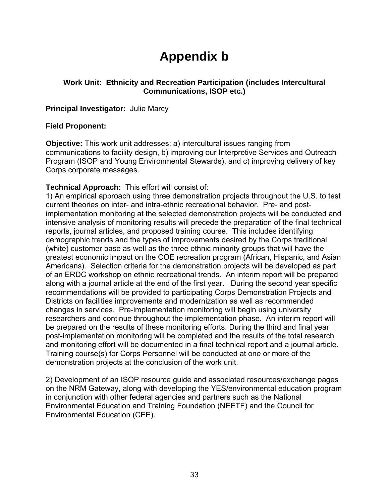# **Appendix b**

### **Work Unit: Ethnicity and Recreation Participation (includes Intercultural Communications, ISOP etc.)**

### **Principal Investigator:** Julie Marcy

### **Field Proponent:**

**Objective:** This work unit addresses: a) intercultural issues ranging from communications to facility design, b) improving our Interpretive Services and Outreach Program (ISOP and Young Environmental Stewards), and c) improving delivery of key Corps corporate messages.

### **Technical Approach:** This effort will consist of:

1) An empirical approach using three demonstration projects throughout the U.S. to test current theories on inter- and intra-ethnic recreational behavior. Pre- and postimplementation monitoring at the selected demonstration projects will be conducted and intensive analysis of monitoring results will precede the preparation of the final technical reports, journal articles, and proposed training course. This includes identifying demographic trends and the types of improvements desired by the Corps traditional (white) customer base as well as the three ethnic minority groups that will have the greatest economic impact on the COE recreation program (African, Hispanic, and Asian Americans). Selection criteria for the demonstration projects will be developed as part of an ERDC workshop on ethnic recreational trends. An interim report will be prepared along with a journal article at the end of the first year. During the second year specific recommendations will be provided to participating Corps Demonstration Projects and Districts on facilities improvements and modernization as well as recommended changes in services. Pre-implementation monitoring will begin using university researchers and continue throughout the implementation phase. An interim report will be prepared on the results of these monitoring efforts. During the third and final year post-implementation monitoring will be completed and the results of the total research and monitoring effort will be documented in a final technical report and a journal article. Training course(s) for Corps Personnel will be conducted at one or more of the demonstration projects at the conclusion of the work unit.

2) Development of an ISOP resource guide and associated resources/exchange pages on the NRM Gateway, along with developing the YES/environmental education program in conjunction with other federal agencies and partners such as the National Environmental Education and Training Foundation (NEETF) and the Council for Environmental Education (CEE).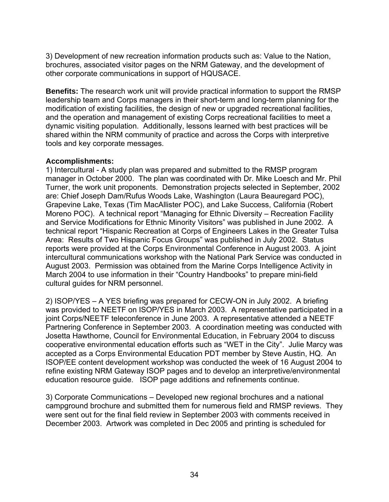3) Development of new recreation information products such as: Value to the Nation, brochures, associated visitor pages on the NRM Gateway, and the development of other corporate communications in support of HQUSACE.

**Benefits:** The research work unit will provide practical information to support the RMSP leadership team and Corps managers in their short-term and long-term planning for the modification of existing facilities, the design of new or upgraded recreational facilities, and the operation and management of existing Corps recreational facilities to meet a dynamic visiting population. Additionally, lessons learned with best practices will be shared within the NRM community of practice and across the Corps with interpretive tools and key corporate messages.

### **Accomplishments:**

1) Intercultural - A study plan was prepared and submitted to the RMSP program manager in October 2000. The plan was coordinated with Dr. Mike Loesch and Mr. Phil Turner, the work unit proponents. Demonstration projects selected in September, 2002 are: Chief Joseph Dam/Rufus Woods Lake, Washington (Laura Beauregard POC), Grapevine Lake, Texas (Tim MacAllister POC), and Lake Success, California (Robert Moreno POC). A technical report "Managing for Ethnic Diversity – Recreation Facility and Service Modifications for Ethnic Minority Visitors" was published in June 2002. A technical report "Hispanic Recreation at Corps of Engineers Lakes in the Greater Tulsa Area: Results of Two Hispanic Focus Groups" was published in July 2002. Status reports were provided at the Corps Environmental Conference in August 2003. A joint intercultural communications workshop with the National Park Service was conducted in August 2003. Permission was obtained from the Marine Corps Intelligence Activity in March 2004 to use information in their "Country Handbooks" to prepare mini-field cultural guides for NRM personnel.

2) ISOP/YES – A YES briefing was prepared for CECW-ON in July 2002. A briefing was provided to NEETF on ISOP/YES in March 2003. A representative participated in a joint Corps/NEETF teleconference in June 2003. A representative attended a NEETF Partnering Conference in September 2003. A coordination meeting was conducted with Josetta Hawthorne, Council for Environmental Education, in February 2004 to discuss cooperative environmental education efforts such as "WET in the City". Julie Marcy was accepted as a Corps Environmental Education PDT member by Steve Austin, HQ. An ISOP/EE content development workshop was conducted the week of 16 August 2004 to refine existing NRM Gateway ISOP pages and to develop an interpretive/environmental education resource guide. ISOP page additions and refinements continue.

3) Corporate Communications – Developed new regional brochures and a national campground brochure and submitted them for numerous field and RMSP reviews. They were sent out for the final field review in September 2003 with comments received in December 2003. Artwork was completed in Dec 2005 and printing is scheduled for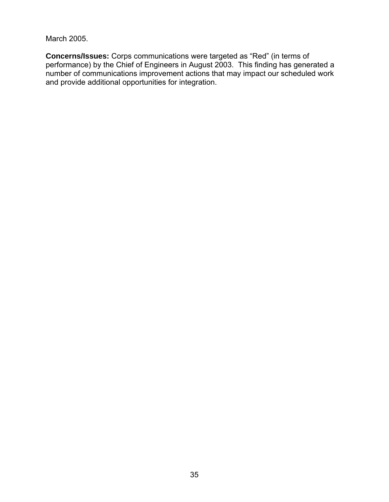March 2005.

**Concerns/Issues:** Corps communications were targeted as "Red" (in terms of performance) by the Chief of Engineers in August 2003. This finding has generated a number of communications improvement actions that may impact our scheduled work and provide additional opportunities for integration.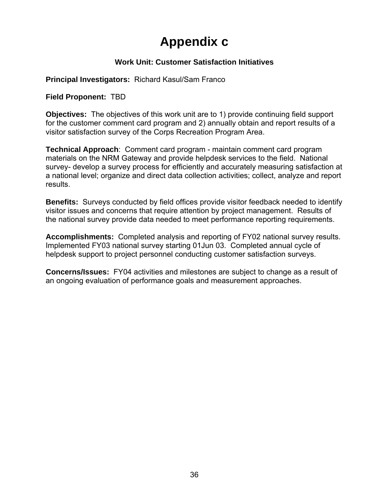# **Appendix c**

### **Work Unit: Customer Satisfaction Initiatives**

**Principal Investigators:** Richard Kasul/Sam Franco

**Field Proponent:** TBD

**Objectives:** The objectives of this work unit are to 1) provide continuing field support for the customer comment card program and 2) annually obtain and report results of a visitor satisfaction survey of the Corps Recreation Program Area.

**Technical Approach**: Comment card program - maintain comment card program materials on the NRM Gateway and provide helpdesk services to the field. National survey- develop a survey process for efficiently and accurately measuring satisfaction at a national level; organize and direct data collection activities; collect, analyze and report results.

**Benefits:** Surveys conducted by field offices provide visitor feedback needed to identify visitor issues and concerns that require attention by project management. Results of the national survey provide data needed to meet performance reporting requirements.

**Accomplishments:** Completed analysis and reporting of FY02 national survey results. Implemented FY03 national survey starting 01Jun 03. Completed annual cycle of helpdesk support to project personnel conducting customer satisfaction surveys.

**Concerns/Issues:** FY04 activities and milestones are subject to change as a result of an ongoing evaluation of performance goals and measurement approaches.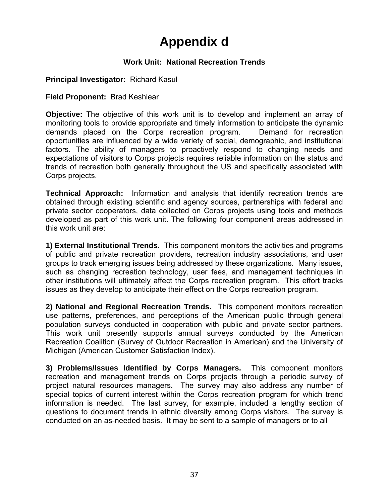# **Appendix d**

### **Work Unit: National Recreation Trends**

### **Principal Investigator:** Richard Kasul

### **Field Proponent:** Brad Keshlear

**Objective:** The objective of this work unit is to develop and implement an array of monitoring tools to provide appropriate and timely information to anticipate the dynamic demands placed on the Corps recreation program. Demand for recreation opportunities are influenced by a wide variety of social, demographic, and institutional factors. The ability of managers to proactively respond to changing needs and expectations of visitors to Corps projects requires reliable information on the status and trends of recreation both generally throughout the US and specifically associated with Corps projects.

**Technical Approach:** Information and analysis that identify recreation trends are obtained through existing scientific and agency sources, partnerships with federal and private sector cooperators, data collected on Corps projects using tools and methods developed as part of this work unit. The following four component areas addressed in this work unit are:

**1) External Institutional Trends.** This component monitors the activities and programs of public and private recreation providers, recreation industry associations, and user groups to track emerging issues being addressed by these organizations. Many issues, such as changing recreation technology, user fees, and management techniques in other institutions will ultimately affect the Corps recreation program. This effort tracks issues as they develop to anticipate their effect on the Corps recreation program.

**2) National and Regional Recreation Trends.** This component monitors recreation use patterns, preferences, and perceptions of the American public through general population surveys conducted in cooperation with public and private sector partners. This work unit presently supports annual surveys conducted by the American Recreation Coalition (Survey of Outdoor Recreation in American) and the University of Michigan (American Customer Satisfaction Index).

**3) Problems/Issues Identified by Corps Managers.** This component monitors recreation and management trends on Corps projects through a periodic survey of project natural resources managers. The survey may also address any number of special topics of current interest within the Corps recreation program for which trend information is needed. The last survey, for example, included a lengthy section of questions to document trends in ethnic diversity among Corps visitors. The survey is conducted on an as-needed basis. It may be sent to a sample of managers or to all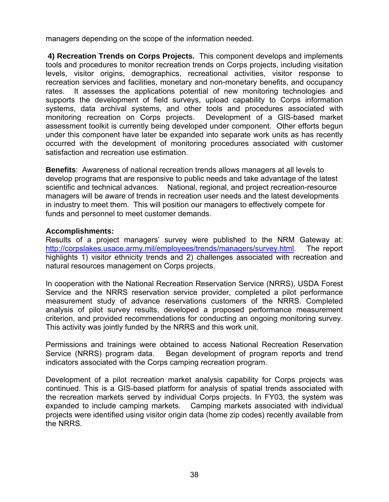managers depending on the scope of the information needed.

**4) Recreation Trends on Corps Projects.** This component develops and implements tools and procedures to monitor recreation trends on Corps projects, including visitation levels, visitor origins, demographics, recreational activities, visitor response to recreation services and facilities, monetary and non-monetary benefits, and occupancy rates. It assesses the applications potential of new monitoring technologies and supports the development of field surveys, upload capability to Corps information systems, data archival systems, and other tools and procedures associated with monitoring recreation on Corps projects. Development of a GIS-based market assessment toolkit is currently being developed under component. Other efforts begun under this component have later be expanded into separate work units as has recently occurred with the development of monitoring procedures associated with customer satisfaction and recreation use estimation.

**Benefits**: Awareness of national recreation trends allows managers at all levels to develop programs that are responsive to public needs and take advantage of the latest scientific and technical advances. National, regional, and project recreation-resource managers will be aware of trends in recreation user needs and the latest developments in industry to meet them. This will position our managers to effectively compete for funds and personnel to meet customer demands.

### **Accomplishments:**

Results of a project managers' survey were published to the NRM Gateway at: http://corpslakes.usace.army.mil/employees/trends/managers/survey.html. The report highlights 1) visitor ethnicity trends and 2) challenges associated with recreation and natural resources management on Corps projects.

In cooperation with the National Recreation Reservation Service (NRRS), USDA Forest Service and the NRRS reservation service provider, completed a pilot performance measurement study of advance reservations customers of the NRRS. Completed analysis of pilot survey results, developed a proposed performance measurement criterion, and provided recommendations for conducting an ongoing monitoring survey. This activity was jointly funded by the NRRS and this work unit.

Permissions and trainings were obtained to access National Recreation Reservation Service (NRRS) program data. Began development of program reports and trend indicators associated with the Corps camping recreation program.

Development of a pilot recreation market analysis capability for Corps projects was continued. This is a GIS-based platform for analysis of spatial trends associated with the recreation markets served by individual Corps projects. In FY03, the system was expanded to include camping markets. Camping markets associated with individual projects were identified using visitor origin data (home zip codes) recently available from the NRRS.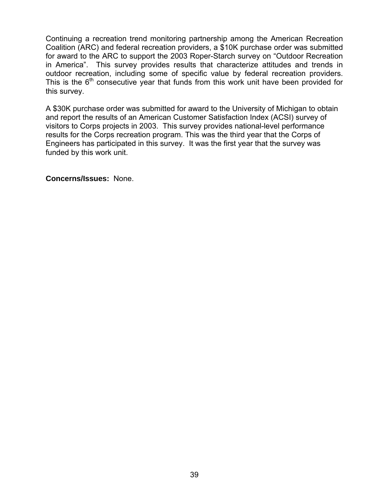Continuing a recreation trend monitoring partnership among the American Recreation Coalition (ARC) and federal recreation providers, a \$10K purchase order was submitted for award to the ARC to support the 2003 Roper-Starch survey on "Outdoor Recreation in America". This survey provides results that characterize attitudes and trends in outdoor recreation, including some of specific value by federal recreation providers. This is the  $6<sup>th</sup>$  consecutive year that funds from this work unit have been provided for this survey.

A \$30K purchase order was submitted for award to the University of Michigan to obtain and report the results of an American Customer Satisfaction Index (ACSI) survey of visitors to Corps projects in 2003. This survey provides national-level performance results for the Corps recreation program. This was the third year that the Corps of Engineers has participated in this survey. It was the first year that the survey was funded by this work unit.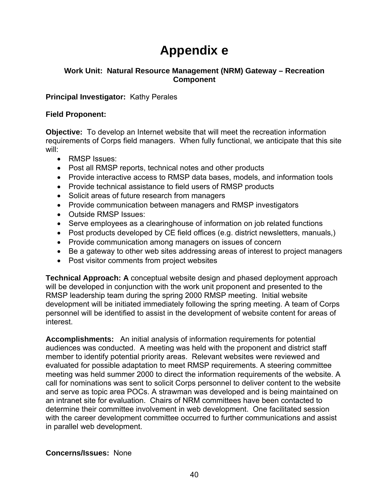# **Appendix e**

### **Work Unit: Natural Resource Management (NRM) Gateway – Recreation Component**

### **Principal Investigator:** Kathy Perales

### **Field Proponent:**

**Objective:** To develop an Internet website that will meet the recreation information requirements of Corps field managers. When fully functional, we anticipate that this site will:

- RMSP Issues:
- Post all RMSP reports, technical notes and other products
- Provide interactive access to RMSP data bases, models, and information tools
- Provide technical assistance to field users of RMSP products
- Solicit areas of future research from managers
- Provide communication between managers and RMSP investigators
- Outside RMSP Issues:
- Serve employees as a clearinghouse of information on job related functions
- Post products developed by CE field offices (e.g. district newsletters, manuals,)
- Provide communication among managers on issues of concern
- Be a gateway to other web sites addressing areas of interest to project managers
- Post visitor comments from project websites

**Technical Approach: A** conceptual website design and phased deployment approach will be developed in conjunction with the work unit proponent and presented to the RMSP leadership team during the spring 2000 RMSP meeting. Initial website development will be initiated immediately following the spring meeting. A team of Corps personnel will be identified to assist in the development of website content for areas of interest.

**Accomplishments:** An initial analysis of information requirements for potential audiences was conducted. A meeting was held with the proponent and district staff member to identify potential priority areas. Relevant websites were reviewed and evaluated for possible adaptation to meet RMSP requirements. A steering committee meeting was held summer 2000 to direct the information requirements of the website. A call for nominations was sent to solicit Corps personnel to deliver content to the website and serve as topic area POCs. A strawman was developed and is being maintained on an intranet site for evaluation. Chairs of NRM committees have been contacted to determine their committee involvement in web development. One facilitated session with the career development committee occurred to further communications and assist in parallel web development.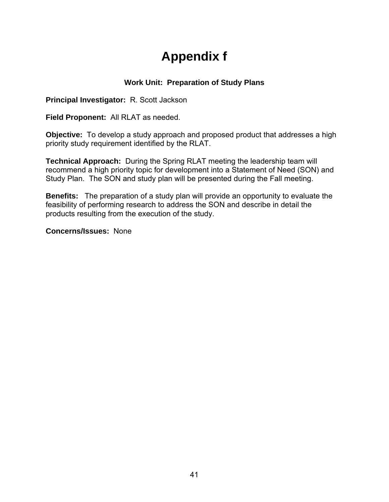# **Appendix f**

### **Work Unit: Preparation of Study Plans**

**Principal Investigator:** R. Scott Jackson

**Field Proponent:** All RLAT as needed.

**Objective:** To develop a study approach and proposed product that addresses a high priority study requirement identified by the RLAT.

**Technical Approach:** During the Spring RLAT meeting the leadership team will recommend a high priority topic for development into a Statement of Need (SON) and Study Plan. The SON and study plan will be presented during the Fall meeting.

**Benefits:** The preparation of a study plan will provide an opportunity to evaluate the feasibility of performing research to address the SON and describe in detail the products resulting from the execution of the study.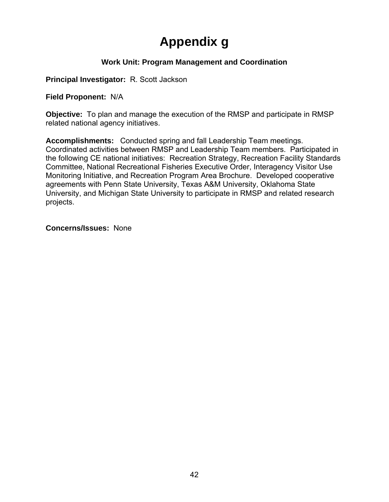# **Appendix g**

### **Work Unit: Program Management and Coordination**

**Principal Investigator:** R. Scott Jackson

**Field Proponent:** N/A

**Objective:** To plan and manage the execution of the RMSP and participate in RMSP related national agency initiatives.

**Accomplishments:** Conducted spring and fall Leadership Team meetings. Coordinated activities between RMSP and Leadership Team members. Participated in the following CE national initiatives: Recreation Strategy, Recreation Facility Standards Committee, National Recreational Fisheries Executive Order, Interagency Visitor Use Monitoring Initiative, and Recreation Program Area Brochure. Developed cooperative agreements with Penn State University, Texas A&M University, Oklahoma State University, and Michigan State University to participate in RMSP and related research projects.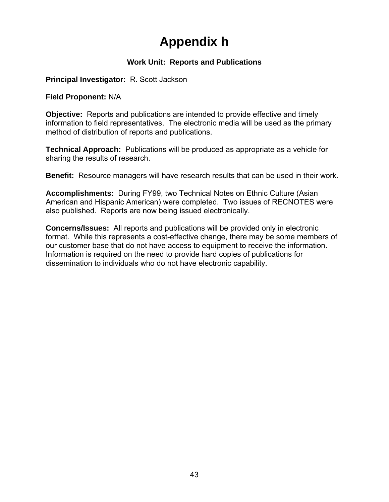# **Appendix h**

### **Work Unit: Reports and Publications**

**Principal Investigator:** R. Scott Jackson

**Field Proponent:** N/A

**Objective:** Reports and publications are intended to provide effective and timely information to field representatives. The electronic media will be used as the primary method of distribution of reports and publications.

**Technical Approach:** Publications will be produced as appropriate as a vehicle for sharing the results of research.

**Benefit:** Resource managers will have research results that can be used in their work.

**Accomplishments:** During FY99, two Technical Notes on Ethnic Culture (Asian American and Hispanic American) were completed. Two issues of RECNOTES were also published. Reports are now being issued electronically.

**Concerns/Issues:** All reports and publications will be provided only in electronic format. While this represents a cost-effective change, there may be some members of our customer base that do not have access to equipment to receive the information. Information is required on the need to provide hard copies of publications for dissemination to individuals who do not have electronic capability.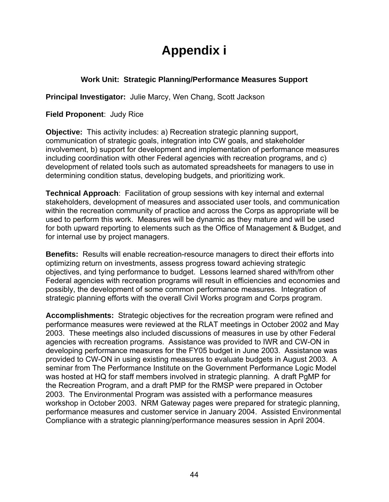# **Appendix i**

### **Work Unit: Strategic Planning/Performance Measures Support**

**Principal Investigator:** Julie Marcy, Wen Chang, Scott Jackson

**Field Proponent**: Judy Rice

**Objective:** This activity includes: a) Recreation strategic planning support, communication of strategic goals, integration into CW goals, and stakeholder involvement, b) support for development and implementation of performance measures including coordination with other Federal agencies with recreation programs, and c) development of related tools such as automated spreadsheets for managers to use in determining condition status, developing budgets, and prioritizing work.

**Technical Approach**: Facilitation of group sessions with key internal and external stakeholders, development of measures and associated user tools, and communication within the recreation community of practice and across the Corps as appropriate will be used to perform this work. Measures will be dynamic as they mature and will be used for both upward reporting to elements such as the Office of Management & Budget, and for internal use by project managers.

**Benefits:** Results will enable recreation-resource managers to direct their efforts into optimizing return on investments, assess progress toward achieving strategic objectives, and tying performance to budget. Lessons learned shared with/from other Federal agencies with recreation programs will result in efficiencies and economies and possibly, the development of some common performance measures. Integration of strategic planning efforts with the overall Civil Works program and Corps program.

**Accomplishments:** Strategic objectives for the recreation program were refined and performance measures were reviewed at the RLAT meetings in October 2002 and May 2003. These meetings also included discussions of measures in use by other Federal agencies with recreation programs. Assistance was provided to IWR and CW-ON in developing performance measures for the FY05 budget in June 2003. Assistance was provided to CW-ON in using existing measures to evaluate budgets in August 2003. A seminar from The Performance Institute on the Government Performance Logic Model was hosted at HQ for staff members involved in strategic planning. A draft PgMP for the Recreation Program, and a draft PMP for the RMSP were prepared in October 2003. The Environmental Program was assisted with a performance measures workshop in October 2003. NRM Gateway pages were prepared for strategic planning, performance measures and customer service in January 2004. Assisted Environmental Compliance with a strategic planning/performance measures session in April 2004.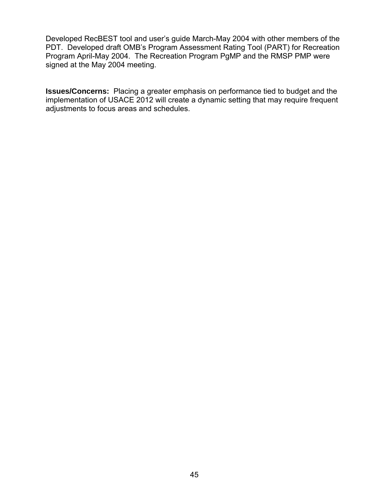Developed RecBEST tool and user's guide March-May 2004 with other members of the PDT. Developed draft OMB's Program Assessment Rating Tool (PART) for Recreation Program April-May 2004. The Recreation Program PgMP and the RMSP PMP were signed at the May 2004 meeting.

**Issues/Concerns:** Placing a greater emphasis on performance tied to budget and the implementation of USACE 2012 will create a dynamic setting that may require frequent adjustments to focus areas and schedules.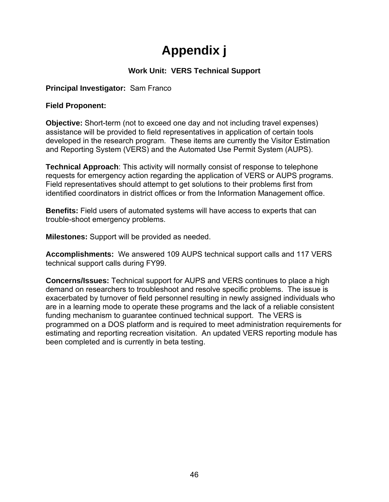# **Appendix j**

### **Work Unit: VERS Technical Support**

### **Principal Investigator:** Sam Franco

### **Field Proponent:**

**Objective:** Short-term (not to exceed one day and not including travel expenses) assistance will be provided to field representatives in application of certain tools developed in the research program. These items are currently the Visitor Estimation and Reporting System (VERS) and the Automated Use Permit System (AUPS).

**Technical Approach**: This activity will normally consist of response to telephone requests for emergency action regarding the application of VERS or AUPS programs. Field representatives should attempt to get solutions to their problems first from identified coordinators in district offices or from the Information Management office.

**Benefits:** Field users of automated systems will have access to experts that can trouble-shoot emergency problems.

**Milestones:** Support will be provided as needed.

**Accomplishments:** We answered 109 AUPS technical support calls and 117 VERS technical support calls during FY99.

**Concerns/Issues:** Technical support for AUPS and VERS continues to place a high demand on researchers to troubleshoot and resolve specific problems. The issue is exacerbated by turnover of field personnel resulting in newly assigned individuals who are in a learning mode to operate these programs and the lack of a reliable consistent funding mechanism to guarantee continued technical support. The VERS is programmed on a DOS platform and is required to meet administration requirements for estimating and reporting recreation visitation. An updated VERS reporting module has been completed and is currently in beta testing.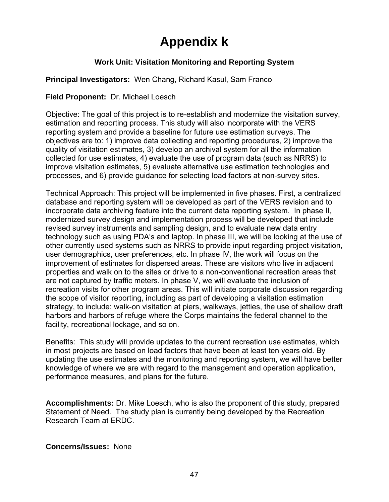# **Appendix k**

### **Work Unit: Visitation Monitoring and Reporting System**

### **Principal Investigators:** Wen Chang, Richard Kasul, Sam Franco

### **Field Proponent:** Dr. Michael Loesch

Objective: The goal of this project is to re-establish and modernize the visitation survey, estimation and reporting process. This study will also incorporate with the VERS reporting system and provide a baseline for future use estimation surveys. The objectives are to: 1) improve data collecting and reporting procedures, 2) improve the quality of visitation estimates, 3) develop an archival system for all the information collected for use estimates, 4) evaluate the use of program data (such as NRRS) to improve visitation estimates, 5) evaluate alternative use estimation technologies and processes, and 6) provide guidance for selecting load factors at non-survey sites.

Technical Approach: This project will be implemented in five phases. First, a centralized database and reporting system will be developed as part of the VERS revision and to incorporate data archiving feature into the current data reporting system. In phase II, modernized survey design and implementation process will be developed that include revised survey instruments and sampling design, and to evaluate new data entry technology such as using PDA's and laptop. In phase III, we will be looking at the use of other currently used systems such as NRRS to provide input regarding project visitation, user demographics, user preferences, etc. In phase IV, the work will focus on the improvement of estimates for dispersed areas. These are visitors who live in adjacent properties and walk on to the sites or drive to a non-conventional recreation areas that are not captured by traffic meters. In phase V, we will evaluate the inclusion of recreation visits for other program areas. This will initiate corporate discussion regarding the scope of visitor reporting, including as part of developing a visitation estimation strategy, to include: walk-on visitation at piers, walkways, jetties, the use of shallow draft harbors and harbors of refuge where the Corps maintains the federal channel to the facility, recreational lockage, and so on.

Benefits: This study will provide updates to the current recreation use estimates, which in most projects are based on load factors that have been at least ten years old. By updating the use estimates and the monitoring and reporting system, we will have better knowledge of where we are with regard to the management and operation application, performance measures, and plans for the future.

**Accomplishments:** Dr. Mike Loesch, who is also the proponent of this study, prepared Statement of Need. The study plan is currently being developed by the Recreation Research Team at ERDC.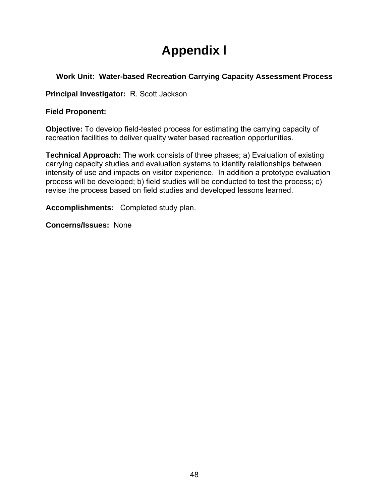# **Appendix l**

### **Work Unit: Water-based Recreation Carrying Capacity Assessment Process**

**Principal Investigator:** R. Scott Jackson

### **Field Proponent:**

**Objective:** To develop field-tested process for estimating the carrying capacity of recreation facilities to deliver quality water based recreation opportunities.

**Technical Approach:** The work consists of three phases; a) Evaluation of existing carrying capacity studies and evaluation systems to identify relationships between intensity of use and impacts on visitor experience. In addition a prototype evaluation process will be developed; b) field studies will be conducted to test the process; c) revise the process based on field studies and developed lessons learned.

**Accomplishments:** Completed study plan.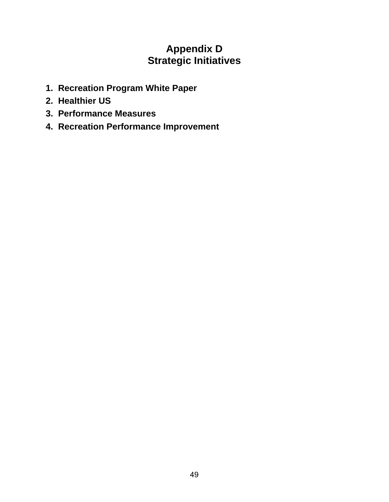## **Appendix D Strategic Initiatives**

- **1. Recreation Program White Paper**
- **2. Healthier US**
- **3. Performance Measures**
- **4. Recreation Performance Improvement**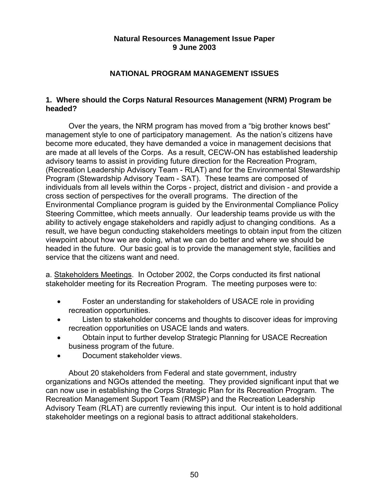### **Natural Resources Management Issue Paper 9 June 2003**

### **NATIONAL PROGRAM MANAGEMENT ISSUES**

### **1. Where should the Corps Natural Resources Management (NRM) Program be headed?**

Over the years, the NRM program has moved from a "big brother knows best" management style to one of participatory management. As the nation's citizens have become more educated, they have demanded a voice in management decisions that are made at all levels of the Corps. As a result, CECW-ON has established leadership advisory teams to assist in providing future direction for the Recreation Program, (Recreation Leadership Advisory Team - RLAT) and for the Environmental Stewardship Program (Stewardship Advisory Team - SAT). These teams are composed of individuals from all levels within the Corps - project, district and division - and provide a cross section of perspectives for the overall programs. The direction of the Environmental Compliance program is guided by the Environmental Compliance Policy Steering Committee, which meets annually. Our leadership teams provide us with the ability to actively engage stakeholders and rapidly adjust to changing conditions. As a result, we have begun conducting stakeholders meetings to obtain input from the citizen viewpoint about how we are doing, what we can do better and where we should be headed in the future. Our basic goal is to provide the management style, facilities and service that the citizens want and need.

a. Stakeholders Meetings. In October 2002, the Corps conducted its first national stakeholder meeting for its Recreation Program. The meeting purposes were to:

- Foster an understanding for stakeholders of USACE role in providing recreation opportunities.
- Listen to stakeholder concerns and thoughts to discover ideas for improving recreation opportunities on USACE lands and waters.
- Obtain input to further develop Strategic Planning for USACE Recreation business program of the future.
- Document stakeholder views.

About 20 stakeholders from Federal and state government, industry organizations and NGOs attended the meeting. They provided significant input that we can now use in establishing the Corps Strategic Plan for its Recreation Program. The Recreation Management Support Team (RMSP) and the Recreation Leadership Advisory Team (RLAT) are currently reviewing this input. Our intent is to hold additional stakeholder meetings on a regional basis to attract additional stakeholders.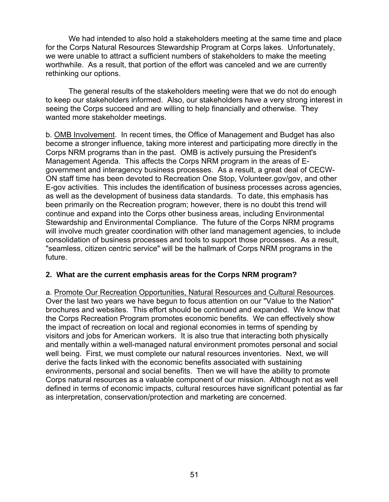We had intended to also hold a stakeholders meeting at the same time and place for the Corps Natural Resources Stewardship Program at Corps lakes. Unfortunately, we were unable to attract a sufficient numbers of stakeholders to make the meeting worthwhile. As a result, that portion of the effort was canceled and we are currently rethinking our options.

The general results of the stakeholders meeting were that we do not do enough to keep our stakeholders informed. Also, our stakeholders have a very strong interest in seeing the Corps succeed and are willing to help financially and otherwise. They wanted more stakeholder meetings.

b. OMB Involvement. In recent times, the Office of Management and Budget has also become a stronger influence, taking more interest and participating more directly in the Corps NRM programs than in the past. OMB is actively pursuing the President's Management Agenda. This affects the Corps NRM program in the areas of Egovernment and interagency business processes. As a result, a great deal of CECW-ON staff time has been devoted to Recreation One Stop, Volunteer.gov/gov, and other E-gov activities. This includes the identification of business processes across agencies, as well as the development of business data standards. To date, this emphasis has been primarily on the Recreation program; however, there is no doubt this trend will continue and expand into the Corps other business areas, including Environmental Stewardship and Environmental Compliance. The future of the Corps NRM programs will involve much greater coordination with other land management agencies, to include consolidation of business processes and tools to support those processes. As a result, "seamless, citizen centric service" will be the hallmark of Corps NRM programs in the future.

### **2. What are the current emphasis areas for the Corps NRM program?**

a. Promote Our Recreation Opportunities, Natural Resources and Cultural Resources. Over the last two years we have begun to focus attention on our "Value to the Nation" brochures and websites. This effort should be continued and expanded. We know that the Corps Recreation Program promotes economic benefits. We can effectively show the impact of recreation on local and regional economies in terms of spending by visitors and jobs for American workers. It is also true that interacting both physically and mentally within a well-managed natural environment promotes personal and social well being. First, we must complete our natural resources inventories. Next, we will derive the facts linked with the economic benefits associated with sustaining environments, personal and social benefits. Then we will have the ability to promote Corps natural resources as a valuable component of our mission. Although not as well defined in terms of economic impacts, cultural resources have significant potential as far as interpretation, conservation/protection and marketing are concerned.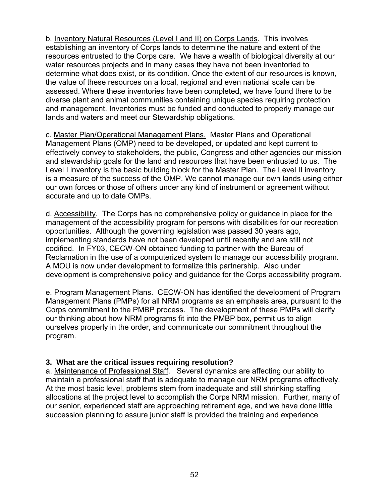b. Inventory Natural Resources (Level I and II) on Corps Lands. This involves establishing an inventory of Corps lands to determine the nature and extent of the resources entrusted to the Corps care. We have a wealth of biological diversity at our water resources projects and in many cases they have not been inventoried to determine what does exist, or its condition. Once the extent of our resources is known, the value of these resources on a local, regional and even national scale can be assessed. Where these inventories have been completed, we have found there to be diverse plant and animal communities containing unique species requiring protection and management. Inventories must be funded and conducted to properly manage our lands and waters and meet our Stewardship obligations.

c. Master Plan/Operational Management Plans. Master Plans and Operational Management Plans (OMP) need to be developed, or updated and kept current to effectively convey to stakeholders, the public, Congress and other agencies our mission and stewardship goals for the land and resources that have been entrusted to us. The Level I inventory is the basic building block for the Master Plan. The Level II inventory is a measure of the success of the OMP. We cannot manage our own lands using either our own forces or those of others under any kind of instrument or agreement without accurate and up to date OMPs.

d. Accessibility. The Corps has no comprehensive policy or guidance in place for the management of the accessibility program for persons with disabilities for our recreation opportunities. Although the governing legislation was passed 30 years ago, implementing standards have not been developed until recently and are still not codified. In FY03, CECW-ON obtained funding to partner with the Bureau of Reclamation in the use of a computerized system to manage our accessibility program. A MOU is now under development to formalize this partnership. Also under development is comprehensive policy and guidance for the Corps accessibility program.

e. Program Management Plans. CECW-ON has identified the development of Program Management Plans (PMPs) for all NRM programs as an emphasis area, pursuant to the Corps commitment to the PMBP process. The development of these PMPs will clarify our thinking about how NRM programs fit into the PMBP box, permit us to align ourselves properly in the order, and communicate our commitment throughout the program.

### **3. What are the critical issues requiring resolution?**

a. Maintenance of Professional Staff. Several dynamics are affecting our ability to maintain a professional staff that is adequate to manage our NRM programs effectively. At the most basic level, problems stem from inadequate and still shrinking staffing allocations at the project level to accomplish the Corps NRM mission. Further, many of our senior, experienced staff are approaching retirement age, and we have done little succession planning to assure junior staff is provided the training and experience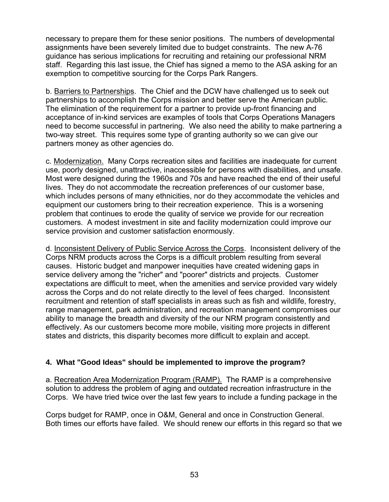necessary to prepare them for these senior positions. The numbers of developmental assignments have been severely limited due to budget constraints. The new A-76 guidance has serious implications for recruiting and retaining our professional NRM staff. Regarding this last issue, the Chief has signed a memo to the ASA asking for an exemption to competitive sourcing for the Corps Park Rangers.

b. Barriers to Partnerships. The Chief and the DCW have challenged us to seek out partnerships to accomplish the Corps mission and better serve the American public. The elimination of the requirement for a partner to provide up-front financing and acceptance of in-kind services are examples of tools that Corps Operations Managers need to become successful in partnering. We also need the ability to make partnering a two-way street. This requires some type of granting authority so we can give our partners money as other agencies do.

c. Modernization. Many Corps recreation sites and facilities are inadequate for current use, poorly designed, unattractive, inaccessible for persons with disabilities, and unsafe. Most were designed during the 1960s and 70s and have reached the end of their useful lives. They do not accommodate the recreation preferences of our customer base, which includes persons of many ethnicities, nor do they accommodate the vehicles and equipment our customers bring to their recreation experience. This is a worsening problem that continues to erode the quality of service we provide for our recreation customers. A modest investment in site and facility modernization could improve our service provision and customer satisfaction enormously.

d. Inconsistent Delivery of Public Service Across the Corps. Inconsistent delivery of the Corps NRM products across the Corps is a difficult problem resulting from several causes. Historic budget and manpower inequities have created widening gaps in service delivery among the "richer" and "poorer" districts and projects. Customer expectations are difficult to meet, when the amenities and service provided vary widely across the Corps and do not relate directly to the level of fees charged. Inconsistent recruitment and retention of staff specialists in areas such as fish and wildlife, forestry, range management, park administration, and recreation management compromises our ability to manage the breadth and diversity of the our NRM program consistently and effectively. As our customers become more mobile, visiting more projects in different states and districts, this disparity becomes more difficult to explain and accept.

### **4. What "Good Ideas" should be implemented to improve the program?**

a. Recreation Area Modernization Program (RAMP). The RAMP is a comprehensive solution to address the problem of aging and outdated recreation infrastructure in the Corps. We have tried twice over the last few years to include a funding package in the

Corps budget for RAMP, once in O&M, General and once in Construction General. Both times our efforts have failed. We should renew our efforts in this regard so that we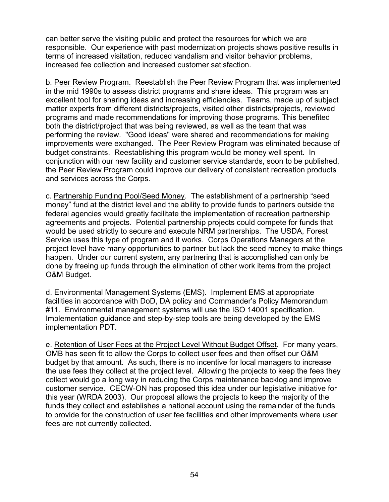can better serve the visiting public and protect the resources for which we are responsible. Our experience with past modernization projects shows positive results in terms of increased visitation, reduced vandalism and visitor behavior problems, increased fee collection and increased customer satisfaction.

b. Peer Review Program. Reestablish the Peer Review Program that was implemented in the mid 1990s to assess district programs and share ideas. This program was an excellent tool for sharing ideas and increasing efficiencies. Teams, made up of subject matter experts from different districts/projects, visited other districts/projects, reviewed programs and made recommendations for improving those programs. This benefited both the district/project that was being reviewed, as well as the team that was performing the review. "Good ideas" were shared and recommendations for making improvements were exchanged. The Peer Review Program was eliminated because of budget constraints. Reestablishing this program would be money well spent. In conjunction with our new facility and customer service standards, soon to be published, the Peer Review Program could improve our delivery of consistent recreation products and services across the Corps.

c. Partnership Funding Pool/Seed Money. The establishment of a partnership "seed money" fund at the district level and the ability to provide funds to partners outside the federal agencies would greatly facilitate the implementation of recreation partnership agreements and projects. Potential partnership projects could compete for funds that would be used strictly to secure and execute NRM partnerships. The USDA, Forest Service uses this type of program and it works. Corps Operations Managers at the project level have many opportunities to partner but lack the seed money to make things happen. Under our current system, any partnering that is accomplished can only be done by freeing up funds through the elimination of other work items from the project O&M Budget.

d. Environmental Management Systems (EMS). Implement EMS at appropriate facilities in accordance with DoD, DA policy and Commander's Policy Memorandum #11. Environmental management systems will use the ISO 14001 specification. Implementation guidance and step-by-step tools are being developed by the EMS implementation PDT.

e. Retention of User Fees at the Project Level Without Budget Offset. For many years, OMB has seen fit to allow the Corps to collect user fees and then offset our O&M budget by that amount. As such, there is no incentive for local managers to increase the use fees they collect at the project level. Allowing the projects to keep the fees they collect would go a long way in reducing the Corps maintenance backlog and improve customer service. CECW-ON has proposed this idea under our legislative initiative for this year (WRDA 2003). Our proposal allows the projects to keep the majority of the funds they collect and establishes a national account using the remainder of the funds to provide for the construction of user fee facilities and other improvements where user fees are not currently collected.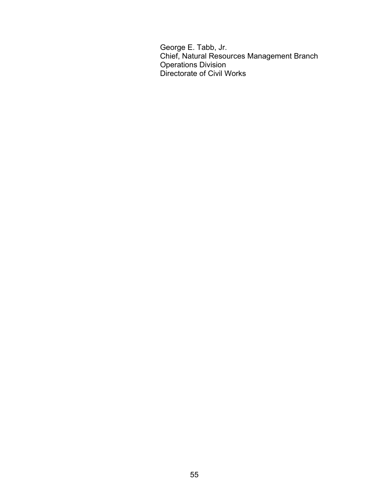George E. Tabb, Jr. Chief, Natural Resources Management Branch **Conducts** Division Conducts Division Directorate of Civil Works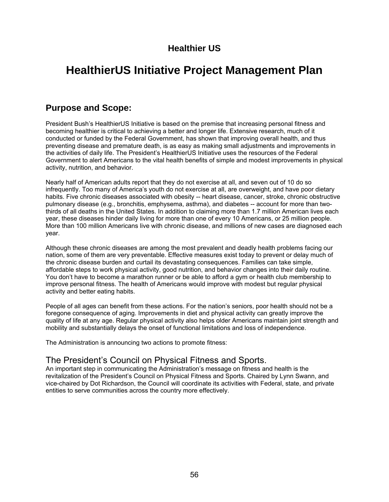## **Healthier US**

## **HealthierUS Initiative Project Management Plan**

### **Purpose and Scope:**

President Bush's HealthierUS Initiative is based on the premise that increasing personal fitness and becoming healthier is critical to achieving a better and longer life. Extensive research, much of it conducted or funded by the Federal Government, has shown that improving overall health, and thus preventing disease and premature death, is as easy as making small adjustments and improvements in the activities of daily life. The President's HealthierUS Initiative uses the resources of the Federal Government to alert Americans to the vital health benefits of simple and modest improvements in physical activity, nutrition, and behavior.

Nearly half of American adults report that they do not exercise at all, and seven out of 10 do so infrequently. Too many of America's youth do not exercise at all, are overweight, and have poor dietary habits. Five chronic diseases associated with obesity -- heart disease, cancer, stroke, chronic obstructive pulmonary disease (e.g., bronchitis, emphysema, asthma), and diabetes -- account for more than twothirds of all deaths in the United States. In addition to claiming more than 1.7 million American lives each year, these diseases hinder daily living for more than one of every 10 Americans, or 25 million people. More than 100 million Americans live with chronic disease, and millions of new cases are diagnosed each year.

Although these chronic diseases are among the most prevalent and deadly health problems facing our nation, some of them are very preventable. Effective measures exist today to prevent or delay much of the chronic disease burden and curtail its devastating consequences. Families can take simple, affordable steps to work physical activity, good nutrition, and behavior changes into their daily routine. You don't have to become a marathon runner or be able to afford a gym or health club membership to improve personal fitness. The health of Americans would improve with modest but regular physical activity and better eating habits.

People of all ages can benefit from these actions. For the nation's seniors, poor health should not be a foregone consequence of aging. Improvements in diet and physical activity can greatly improve the quality of life at any age. Regular physical activity also helps older Americans maintain joint strength and mobility and substantially delays the onset of functional limitations and loss of independence.

The Administration is announcing two actions to promote fitness:

## The President's Council on Physical Fitness and Sports.

An important step in communicating the Administration's message on fitness and health is the revitalization of the President's Council on Physical Fitness and Sports. Chaired by Lynn Swann, and vice-chaired by Dot Richardson, the Council will coordinate its activities with Federal, state, and private entities to serve communities across the country more effectively.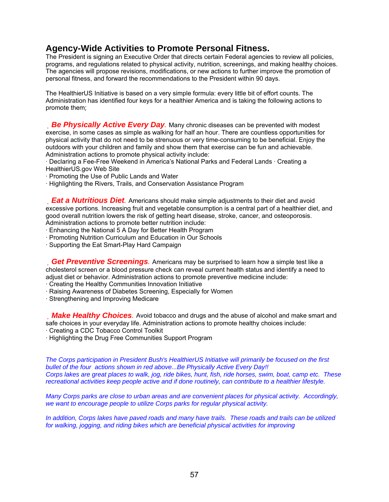## **Agency-Wide Activities to Promote Personal Fitness.**

The President is signing an Executive Order that directs certain Federal agencies to review all policies, programs, and regulations related to physical activity, nutrition, screenings, and making healthy choices. The agencies will propose revisions, modifications, or new actions to further improve the promotion of personal fitness, and forward the recommendations to the President within 90 days.

The HealthierUS Initiative is based on a very simple formula: every little bit of effort counts. The Administration has identified four keys for a healthier America and is taking the following actions to promote them:

**Be Physically Active Every Day**. Many chronic diseases can be prevented with modest exercise, in some cases as simple as walking for half an hour. There are countless opportunities for physical activity that do not need to be strenuous or very time-consuming to be beneficial. Enjoy the outdoors with your children and family and show them that exercise can be fun and achievable. Administration actions to promote physical activity include:

· Declaring a Fee-Free Weekend in America's National Parks and Federal Lands · Creating a HealthierUS.gov Web Site

· Promoting the Use of Public Lands and Water

· Highlighting the Rivers, Trails, and Conservation Assistance Program

*Eat a Nutritious Diet.* Americans should make simple adjustments to their diet and avoid excessive portions. Increasing fruit and vegetable consumption is a central part of a healthier diet, and good overall nutrition lowers the risk of getting heart disease, stroke, cancer, and osteoporosis. Administration actions to promote better nutrition include:

· Enhancing the National 5 A Day for Better Health Program

- · Promoting Nutrition Curriculum and Education in Our Schools
- · Supporting the Eat Smart-Play Hard Campaign

*Get Preventive Screenings*. Americans may be surprised to learn how a simple test like a cholesterol screen or a blood pressure check can reveal current health status and identify a need to adjust diet or behavior. Administration actions to promote preventive medicine include:

· Creating the Healthy Communities Innovation Initiative

· Raising Awareness of Diabetes Screening, Especially for Women

· Strengthening and Improving Medicare

**Make Healthy Choices**. Avoid tobacco and drugs and the abuse of alcohol and make smart and safe choices in your everyday life. Administration actions to promote healthy choices include:

· Creating a CDC Tobacco Control Toolkit

· Highlighting the Drug Free Communities Support Program

*The Corps participation in President Bush's HealthierUS Initiative will primarily be focused on the first bullet of the four actions shown in red above...Be Physically Active Every Day!! Corps lakes are great places to walk, jog, ride bikes, hunt, fish, ride horses, swim, boat, camp etc. These recreational activities keep people active and if done routinely, can contribute to a healthier lifestyle.* 

*Many Corps parks are close to urban areas and are convenient places for physical activity. Accordingly, we want to encourage people to utilize Corps parks for regular physical activity.* 

*In addition, Corps lakes have paved roads and many have trails. These roads and trails can be utilized for walking, jogging, and riding bikes which are beneficial physical activities for improving*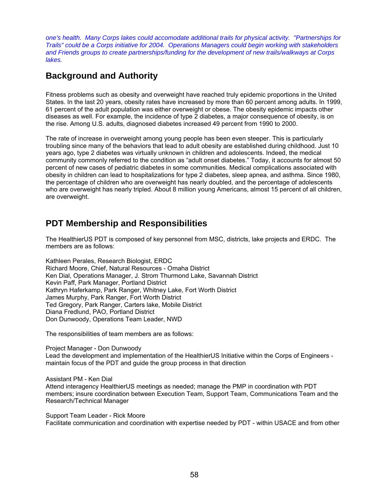*one's health. Many Corps lakes could accomodate additional trails for physical activity. "Partnerships for Trails" could be a Corps initiative for 2004. Operations Managers could begin working with stakeholders and Friends groups to create partnerships/funding for the development of new trails/walkways at Corps lakes.* 

## **Background and Authority**

Fitness problems such as obesity and overweight have reached truly epidemic proportions in the United States. In the last 20 years, obesity rates have increased by more than 60 percent among adults. In 1999, 61 percent of the adult population was either overweight or obese. The obesity epidemic impacts other diseases as well. For example, the incidence of type 2 diabetes, a major consequence of obesity, is on the rise. Among U.S. adults, diagnosed diabetes increased 49 percent from 1990 to 2000.

The rate of increase in overweight among young people has been even steeper. This is particularly troubling since many of the behaviors that lead to adult obesity are established during childhood. Just 10 years ago, type 2 diabetes was virtually unknown in children and adolescents. Indeed, the medical community commonly referred to the condition as "adult onset diabetes." Today, it accounts for almost 50 percent of new cases of pediatric diabetes in some communities. Medical complications associated with obesity in children can lead to hospitalizations for type 2 diabetes, sleep apnea, and asthma. Since 1980, the percentage of children who are overweight has nearly doubled, and the percentage of adolescents who are overweight has nearly tripled. About 8 million young Americans, almost 15 percent of all children, are overweight.

## **PDT Membership and Responsibilities**

The HealthierUS PDT is composed of key personnel from MSC, districts, lake projects and ERDC. The members are as follows:

Kathleen Perales, Research Biologist, ERDC Richard Moore, Chief, Natural Resources - Omaha District Ken Dial, Operations Manager, J. Strom Thurmond Lake, Savannah District Kevin Paff, Park Manager, Portland District Kathryn Haferkamp, Park Ranger, Whitney Lake, Fort Worth District James Murphy, Park Ranger, Fort Worth District Ted Gregory, Park Ranger, Carters lake, Mobile District Diana Fredlund, PAO, Portland District Don Dunwoody, Operations Team Leader, NWD

The responsibilities of team members are as follows:

Project Manager - Don Dunwoody Lead the development and implementation of the HealthierUS Initiative within the Corps of Engineers maintain focus of the PDT and guide the group process in that direction

Assistant PM - Ken Dial

Attend interagency HealthierUS meetings as needed; manage the PMP in coordination with PDT members; insure coordination between Execution Team, Support Team, Communications Team and the Research/Technical Manager

Support Team Leader - Rick Moore Facilitate communication and coordination with expertise needed by PDT - within USACE and from other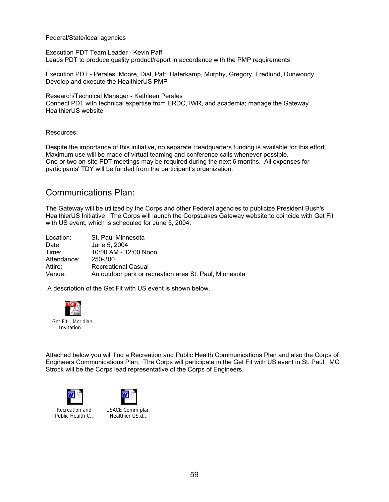Federal/State/local agencies

Execution PDT Team Leader - Kevin Paff Leads PDT to produce quality product/report in accordance with the PMP requirements

Execution PDT - Perales, Moore, Dial, Paff, Haferkamp, Murphy, Gregory, Fredlund, Dunwoody Develop and execute the HealthierUS PMP

Research/Technical Manager - Kathleen Perales Connect PDT with technical expertise from ERDC, IWR, and academia; manage the Gateway HealthierUS website

Resources:

Despite the importance of this initiative, no separate Headquarters funding is available for this effort. Maximum use will be made of virtual teaming and conference calls whenever possible. One or two on-site PDT meetings may be required during the next 6 months. All expenses for participants' TDY will be funded from the participant's organization.

### Communications Plan:

The Gateway will be utilized by the Corps and other Federal agencies to publicize President Bush's HealthierUS Initiative. The Corps will launch the CorpsLakes Gateway website to coincide with Get Fit with US event, which is scheduled for June 5, 2004:

| Location:   | St. Paul Minnesota                                     |
|-------------|--------------------------------------------------------|
| Date:       | June 5, 2004                                           |
| Time:       | 10:00 AM - 12:00 Noon                                  |
| Attendance: | 250-300                                                |
| Attire:     | <b>Recreational Casual</b>                             |
| Venue:      | An outdoor park or recreation area St. Paul, Minnesota |

A description of the Get Fit with US event is shown below.



Attached below you will find a Recreation and Public Health Communications Plan and also the Corps of Engineers Communications Plan. The Corps will participate in the Get Fit with US event in St. Paul. MG Strock will be the Corps lead representative of the Corps of Engineers.





Recreation and Public Health C... USACE Comm plan Healthier US.d...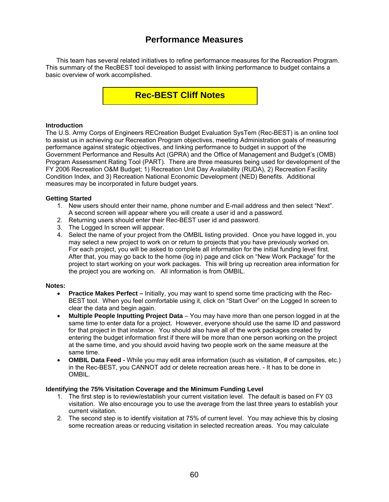## **Performance Measures**

 This team has several related initiatives to refine performance measures for the Recreation Program. This summary of the RecBEST tool developed to assist with linking performance to budget contains a basic overview of work accomplished.

## **Rec-BEST Cliff Notes**

#### **Introduction**

The U.S. Army Corps of Engineers RECreation Budget Evaluation SysTem (Rec-BEST) is an online tool to assist us in achieving our Recreation Program objectives, meeting Administration goals of measuring performance against strategic objectives, and linking performance to budget in support of the Government Performance and Results Act (GPRA) and the Office of Management and Budget's (OMB) Program Assessment Rating Tool (PART). There are three measures being used for development of the FY 2006 Recreation O&M Budget; 1) Recreation Unit Day Availability (RUDA), 2) Recreation Facility Condition Index, and 3) Recreation National Economic Development (NED) Benefits. Additional measures may be incorporated in future budget years.

#### **Getting Started**

- 1. New users should enter their name, phone number and E-mail address and then select "Next". A second screen will appear where you will create a user id and a password.
- 2. Returning users should enter their Rec-BEST user id and password.
- 3. The Logged In screen will appear.
- 4. Select the name of your project from the OMBIL listing provided. Once you have logged in, you may select a new project to work on or return to projects that you have previously worked on. For each project, you will be asked to complete all information for the initial funding level first. After that, you may go back to the home (log in) page and click on "New Work Package" for the project to start working on your work packages. This will bring up recreation area information for the project you are working on. All information is from OMBIL.

#### **Notes:**

- **Practice Makes Perfect** Initially, you may want to spend some time practicing with the Rec-BEST tool. When you feel comfortable using it, click on "Start Over" on the Logged In screen to clear the data and begin again.
- **Multiple People Inputting Project Data** You may have more than one person logged in at the same time to enter data for a project. However, everyone should use the same ID and password for that project in that instance. You should also have all of the work packages created by entering the budget information first if there will be more than one person working on the project at the same time, and you should avoid having two people work on the same measure at the same time.
- **OMBIL Data Feed** While you may edit area information (such as visitation, # of campsites, etc.) in the Rec-BEST, you CANNOT add or delete recreation areas here. - It has to be done in OMBIL.

#### **Identifying the 75% Visitation Coverage and the Minimum Funding Level**

- 1. The first step is to review/establish your current visitation level. The default is based on FY 03 visitation. We also encourage you to use the average from the last three years to establish your current visitation.
- 2. The second step is to identify visitation at 75% of current level. You may achieve this by closing some recreation areas or reducing visitation in selected recreation areas. You may calculate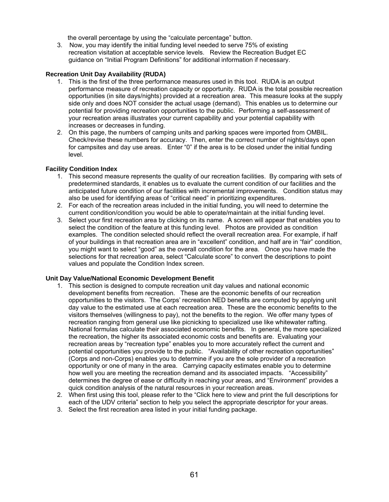the overall percentage by using the "calculate percentage" button.

3. Now, you may identify the initial funding level needed to serve 75% of existing recreation visitation at acceptable service levels. Review the Recreation Budget EC guidance on "Initial Program Definitions" for additional information if necessary.

#### **Recreation Unit Day Availability (RUDA)**

- 1. This is the first of the three performance measures used in this tool. RUDA is an output performance measure of recreation capacity or opportunity. RUDA is the total possible recreation opportunities (in site days/nights) provided at a recreation area. This measure looks at the supply side only and does NOT consider the actual usage (demand). This enables us to determine our potential for providing recreation opportunities to the public. Performing a self-assessment of your recreation areas illustrates your current capability and your potential capability with increases or decreases in funding.
- 2. On this page, the numbers of camping units and parking spaces were imported from OMBIL. Check/revise these numbers for accuracy. Then, enter the correct number of nights/days open for campsites and day use areas. Enter "0" if the area is to be closed under the initial funding level.

#### **Facility Condition Index**

- 1. This second measure represents the quality of our recreation facilities. By comparing with sets of predetermined standards, it enables us to evaluate the current condition of our facilities and the anticipated future condition of our facilities with incremental improvements. Condition status may also be used for identifying areas of "critical need" in prioritizing expenditures.
- 2. For each of the recreation areas included in the initial funding, you will need to determine the current condition/condition you would be able to operate/maintain at the initial funding level.
- 3. Select your first recreation area by clicking on its name. A screen will appear that enables you to select the condition of the feature at this funding level. Photos are provided as condition examples. The condition selected should reflect the overall recreation area. For example, if half of your buildings in that recreation area are in "excellent" condition, and half are in "fair" condition, you might want to select "good" as the overall condition for the area. Once you have made the selections for that recreation area, select "Calculate score" to convert the descriptions to point values and populate the Condition Index screen.

#### **Unit Day Value/National Economic Development Benefit**

- 1. This section is designed to compute recreation unit day values and national economic development benefits from recreation. These are the economic benefits of our recreation opportunities to the visitors. The Corps' recreation NED benefits are computed by applying unit day value to the estimated use at each recreation area. These are the economic benefits to the visitors themselves (willingness to pay), not the benefits to the region. We offer many types of recreation ranging from general use like picnicking to specialized use like whitewater rafting. National formulas calculate their associated economic benefits. In general, the more specialized the recreation, the higher its associated economic costs and benefits are. Evaluating your recreation areas by "recreation type" enables you to more accurately reflect the current and potential opportunities you provide to the public. "Availability of other recreation opportunities" (Corps and non-Corps) enables you to determine if you are the sole provider of a recreation opportunity or one of many in the area. Carrying capacity estimates enable you to determine how well you are meeting the recreation demand and its associated impacts. "Accessibility" determines the degree of ease or difficulty in reaching your areas, and "Environment" provides a quick condition analysis of the natural resources in your recreation areas.
- 2. When first using this tool, please refer to the "Click here to view and print the full descriptions for each of the UDV criteria" section to help you select the appropriate descriptor for your areas.
- 3. Select the first recreation area listed in your initial funding package.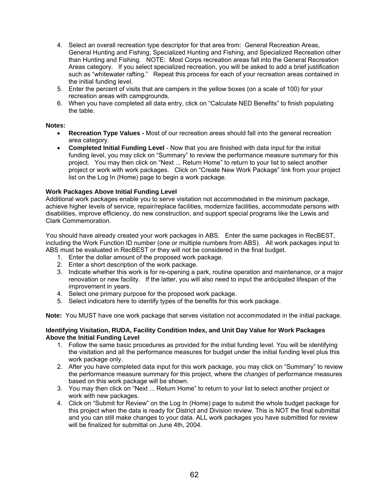- 4. Select an overall recreation type descriptor for that area from: General Recreation Areas, General Hunting and Fishing, Specialized Hunting and Fishing, and Specialized Recreation other than Hunting and Fishing. NOTE: Most Corps recreation areas fall into the General Recreation Areas category. If you select specialized recreation, you will be asked to add a brief justification such as "whitewater rafting." Repeat this process for each of your recreation areas contained in the initial funding level.
- 5. Enter the percent of visits that are campers in the yellow boxes (on a scale of 100) for your recreation areas with campgrounds.
- 6. When you have completed all data entry, click on "Calculate NED Benefits" to finish populating the table.

#### **Notes:**

- **Recreation Type Values** Most of our recreation areas should fall into the general recreation area category.
- **Completed Initial Funding Level** Now that you are finished with data input for the initial funding level, you may click on "Summary" to review the performance measure summary for this project. You may then click on "Next ... Return Home" to return to your list to select another project or work with work packages. Click on "Create New Work Package" link from your project list on the Log In (Home) page to begin a work package.

#### **Work Packages Above Initial Funding Level**

Additional work packages enable you to serve visitation not accommodated in the minimum package, achieve higher levels of service, repair/replace facilities, modernize facilities, accommodate persons with disabilities, improve efficiency, do new construction, and support special programs like the Lewis and Clark Commemoration.

You should have already created your work packages in ABS. Enter the same packages in RecBEST, including the Work Function ID number (one or multiple numbers from ABS). All work packages input to ABS must be evaluated in RecBEST or they will not be considered in the final budget.

- 1. Enter the dollar amount of the proposed work package.
- 2. Enter a short description of the work package.
- 3. Indicate whether this work is for re-opening a park, routine operation and maintenance, or a major renovation or new facility. If the latter, you will also need to input the anticipated lifespan of the improvement in years.
- 4. Select one primary purpose for the proposed work package.
- 5. Select indicators here to identify types of the benefits for this work package.

**Note:** You MUST have one work package that serves visitation not accommodated in the initial package.

#### **Identifying Visitation, RUDA, Facility Condition Index, and Unit Day Value for Work Packages Above the Initial Funding Level**

- 1. Follow the same basic procedures as provided for the initial funding level. You will be identifying the visitation and all the performance measures for budget under the initial funding level plus this work package only.
- 2. After you have completed data input for this work package, you may click on "Summary" to review the performance measure summary for this project, where the *changes* of performance measures based on this work package will be shown.
- 3. You may then click on "Next ... Return Home" to return to your list to select another project or work with new packages.
- 4. Click on "Submit for Review" on the Log In (Home) page to submit the whole budget package for this project when the data is ready for District and Division review. This is NOT the final submittal and you can still make changes to your data. ALL work packages you have submitted for review will be finalized for submittal on June 4th, 2004.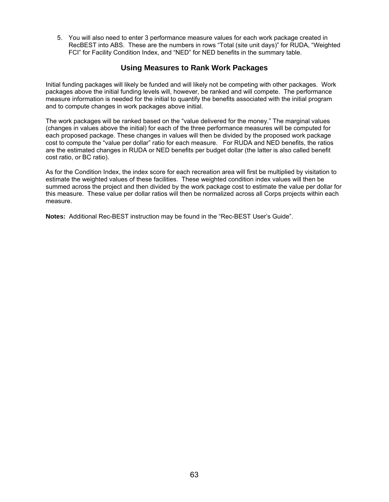5. You will also need to enter 3 performance measure values for each work package created in RecBEST into ABS. These are the numbers in rows "Total (site unit days)" for RUDA, "Weighted FCI" for Facility Condition Index, and "NED" for NED benefits in the summary table.

### **Using Measures to Rank Work Packages**

Initial funding packages will likely be funded and will likely not be competing with other packages. Work packages above the initial funding levels will, however, be ranked and will compete. The performance measure information is needed for the initial to quantify the benefits associated with the initial program and to compute changes in work packages above initial.

The work packages will be ranked based on the "value delivered for the money." The marginal values (changes in values above the initial) for each of the three performance measures will be computed for each proposed package. These changes in values will then be divided by the proposed work package cost to compute the "value per dollar" ratio for each measure. For RUDA and NED benefits, the ratios are the estimated changes in RUDA or NED benefits per budget dollar (the latter is also called benefit cost ratio, or BC ratio).

As for the Condition Index, the index score for each recreation area will first be multiplied by visitation to estimate the weighted values of these facilities. These weighted condition index values will then be summed across the project and then divided by the work package cost to estimate the value per dollar for this measure. These value per dollar ratios will then be normalized across all Corps projects within each measure.

**Notes:** Additional Rec-BEST instruction may be found in the "Rec-BEST User's Guide".